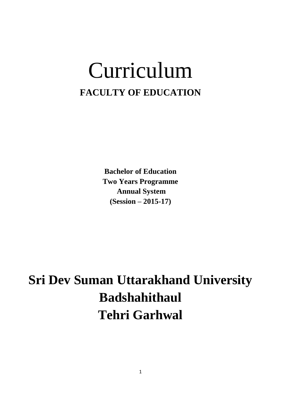# Curriculum **FACULTY OF EDUCATION**

**Bachelor of Education Two Years Programme Annual System (Session – 2015-17)**

**Sri Dev Suman Uttarakhand University Badshahithaul Tehri Garhwal**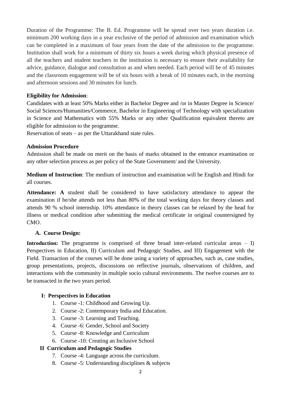Duration of the Programme: The B. Ed. Programme will be spread over two years duration i.e. minimum 200 working days in a year exclusive of the period of admission and examination which can be completed in a maximum of four years from the date of the admission to the programme. Institution shall work for a minimum of thirty six hours a week during which physical presence of all the teachers and student teachers in the institution is necessary to ensure their availability for advice, guidance, dialogue and consultation as and when needed. Each period will be of 45 minutes and the classroom engagement will be of six hours with a break of 10 minutes each, in the morning and afternoon sessions and 30 minutes for lunch.

#### **Eligibility for Admission**:

Candidates with at least 50% Marks either in Bachelor Degree and /or in Master Degree in Science/ Social Sciences/Humanities/Commerce, Bachelor in Engineering of Technology with specialization in Science and Mathematics with 55% Marks or any other Qualification equivalent thereto are eligible for admission to the programme.

Reservation of seats – as per the Uttarakhand state rules.

#### **Admission Procedure**

Admission shall be made on merit on the basis of marks obtained in the entrance examination or any other selection process as per policy of the State Government/ and the University.

**Medium of Instruction**: The medium of instruction and examination will be English and Hindi for all courses.

**Attendance: A** student shall be considered to have satisfactory attendance to appear the examination if he/she attends not less than 80% of the total working days for theory classes and attends 90 % school internship. 10% attendance in theory classes can be relaxed by the head for illness or medical condition after submitting the medical certificate in original countersigned by CMO.

#### **A. Course Design:**

**Introduction:** The programme is comprised of three broad inter-related curricular areas – I) Perspectives in Education, II) Curriculum and Pedagogic Studies, and III) Engagement with the Field. Transaction of the courses will be done using a variety of approaches, such as, case studies, group presentations, projects, discussions on reflective journals, observations of children, and interactions with the community in multiple socio cultural environments. The twelve courses are to be transacted in the two years period.

#### **I: Perspectives in Education**

- 1. Course -1: Childhood and Growing Up.
- 2. Course -2: Contemporary India and Education.
- 3. Course -3: Learning and Teaching.
- 4. Course -6: Gender, School and Society
- 5. Course -8: Knowledge and Curriculum
- 6. Course -10: Creating an Inclusive School

#### **II Curriculum and Pedagogic Studies**

- 7. Course -4: Language across the curriculum.
- 8. Course -5: Understanding disciplines & subjects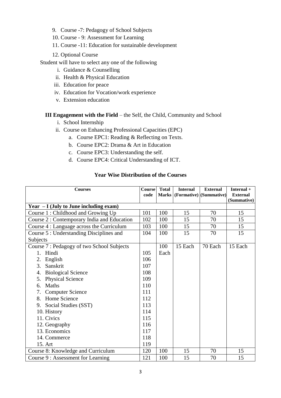- 9. Course -7: Pedagogy of School Subjects
- 10. Course 9: Assessment for Learning
- 11. Course -11: Education for sustainable development
- 12. Optional Course

Student will have to select any one of the following

- i. Guidance & Counselling
- ii. Health & Physical Education
- iii. Education for peace
- iv. Education for Vocation/work experience
- v. Extension education

#### **III Engagement with the Field** – the Self, the Child, Community and School

- i. School Internship
- ii. Course on Enhancing Professional Capacities (EPC)
	- a. Course EPC1: Reading & Reflecting on Texts.
	- b. Course EPC2: Drama & Art in Education
	- c. Course EPC3: Understanding the self.
	- d. Course EPC4: Critical Understanding of ICT.

#### **Year Wise Distribution of the Courses**

| <b>Courses</b>                              | Course | <b>Total</b> | <b>Internal</b> | <b>External</b>         | Internal +                     |
|---------------------------------------------|--------|--------------|-----------------|-------------------------|--------------------------------|
|                                             | code   | <b>Marks</b> |                 | (Formative) (Summative) | <b>External</b><br>(Summative) |
| Year $-I$ (July to June including exam)     |        |              |                 |                         |                                |
| Course 1: Childhood and Growing Up          | 101    | 100          | 15              | 70                      | 15                             |
| Course 2 : Contemporary India and Education | 102    | 100          | 15              | 70                      | 15                             |
| Course 4 : Language across the Curriculum   | 103    | 100          | 15              | 70                      | 15                             |
| Course 5 : Understanding Disciplines and    | 104    | 100          | 15              | 70                      | 15                             |
| Subjects                                    |        |              |                 |                         |                                |
| Course 7 : Pedagogy of two School Subjects  |        | 100          | 15 Each         | 70 Each                 | 15 Each                        |
| Hindi<br>1.                                 | 105    | Each         |                 |                         |                                |
| 2.<br>English                               | 106    |              |                 |                         |                                |
| 3.<br>Sanskrit                              | 107    |              |                 |                         |                                |
| <b>Biological Science</b><br>4.             | 108    |              |                 |                         |                                |
| <b>Physical Science</b><br>5.               | 109    |              |                 |                         |                                |
| Maths<br>6.                                 | 110    |              |                 |                         |                                |
| 7. Computer Science                         | 111    |              |                 |                         |                                |
| 8. Home Science                             | 112    |              |                 |                         |                                |
| 9. Social Studies (SST)                     | 113    |              |                 |                         |                                |
| 10. History                                 | 114    |              |                 |                         |                                |
| 11. Civics                                  | 115    |              |                 |                         |                                |
| 12. Geography                               | 116    |              |                 |                         |                                |
| 13. Economics                               | 117    |              |                 |                         |                                |
| 14. Commerce                                | 118    |              |                 |                         |                                |
| 15. Art                                     | 119    |              |                 |                         |                                |
| Course 8: Knowledge and Curriculum          | 120    | 100          | 15              | 70                      | 15                             |
| Course 9 : Assessment for Learning          | 121    | 100          | 15              | 70                      | 15                             |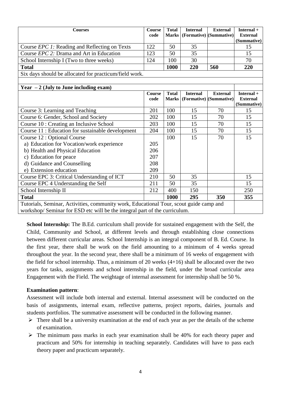| <b>Courses</b>                                                                         | <b>Course</b><br>code | <b>Total</b><br><b>Marks</b> | <b>Internal</b> | <b>External</b><br>(Formative) (Summative) | Internal +<br><b>External</b> |  |
|----------------------------------------------------------------------------------------|-----------------------|------------------------------|-----------------|--------------------------------------------|-------------------------------|--|
|                                                                                        |                       |                              |                 |                                            | (Summative)                   |  |
| Course EPC 1: Reading and Reflecting on Texts                                          | 122                   | 50                           | 35              |                                            | 15                            |  |
| Course EPC 2: Drama and Art in Education                                               | 123                   | 50                           | 35              |                                            | 15                            |  |
| School Internship I (Two to three weeks)                                               | 124                   | 100                          | 30              |                                            | 70                            |  |
| <b>Total</b>                                                                           |                       | 1000                         | 220             | 560                                        | 220                           |  |
| Six days should be allocated for practicum/field work.                                 |                       |                              |                 |                                            |                               |  |
|                                                                                        |                       |                              |                 |                                            |                               |  |
| Year $-2$ (July to June including exam)                                                |                       |                              |                 |                                            |                               |  |
|                                                                                        | <b>Course</b>         | <b>Total</b>                 | <b>Internal</b> | <b>External</b>                            | Internal +                    |  |
|                                                                                        | code                  | <b>Marks</b>                 |                 | (Formative) (Summative)                    | <b>External</b>               |  |
|                                                                                        |                       |                              |                 |                                            | (Summative)                   |  |
| Course 3: Learning and Teaching                                                        | 201                   | 100                          | 15              | 70                                         | 15                            |  |
| Course 6: Gender, School and Society                                                   | 202                   | 100                          | 15              | 70                                         | 15                            |  |
| Course 10 : Creating an Inclusive School                                               | 203                   | 100                          | 15              | 70                                         | 15                            |  |
| Course 11 : Education for sustainable development                                      | 204                   | 100                          | 15              | 70                                         | 15                            |  |
| Course 12 : Optional Course                                                            |                       | 100                          | 15              | 70                                         | 15                            |  |
| a) Education for Vocation/work experience                                              | 205                   |                              |                 |                                            |                               |  |
| b) Health and Physical Education                                                       | 206                   |                              |                 |                                            |                               |  |
| c) Education for peace                                                                 | 207                   |                              |                 |                                            |                               |  |
| d) Guidance and Counselling                                                            | 208                   |                              |                 |                                            |                               |  |
| e) Extension education                                                                 | 209                   |                              |                 |                                            |                               |  |
| Course EPC 3: Critical Understanding of ICT                                            | 210                   | 50                           | 35              |                                            | 15                            |  |
| Course EPC 4 Understanding the Self                                                    | 211                   | 50                           | 35              |                                            | 15                            |  |
| School Internship II                                                                   | 212                   | 400                          | 150             |                                            | 250                           |  |
| <b>Total</b>                                                                           |                       | 1000                         | 295             | 350                                        | 355                           |  |
| Tutorials, Seminar, Activities, community work, Educational Tour, scout guide camp and |                       |                              |                 |                                            |                               |  |
| workshop/Seminar for ESD etc will be the integral part of the curriculum.              |                       |                              |                 |                                            |                               |  |

**School Internship:** The B.Ed. curriculum shall provide for sustained engagement with the Self, the Child, Community and School, at different levels and through establishing close connections between different curricular areas. School Internship is an integral component of B. Ed. Course. In the first year, there shall be work on the field amounting to a minimum of 4 weeks spread throughout the year. In the second year, there shall be a minimum of 16 weeks of engagement with the field for school internship. Thus, a minimum of 20 weeks (4+16) shall be allocated over the two years for tasks, assignments and school internship in the field, under the broad curricular area Engagement with the Field. The weightage of internal assessment for internship shall be 50 %.

#### **Examination pattern**:

Assessment will include both internal and external. Internal assessment will be conducted on the basis of assignments, internal exam, reflective patterns, project reports, dairies, journals and students portfolios. The summative assessment will be conducted in the following manner.

- $\triangleright$  There shall be a university examination at the end of each year as per the details of the scheme of examination.
- $\triangleright$  The minimum pass marks in each year examination shall be 40% for each theory paper and practicum and 50% for internship in teaching separately. Candidates will have to pass each theory paper and practicum separately.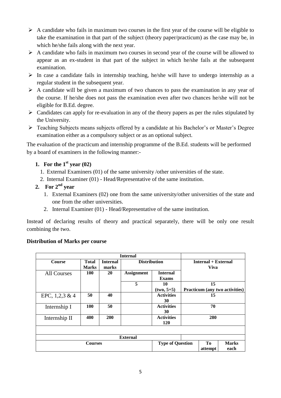- $\triangleright$  A candidate who fails in maximum two courses in the first year of the course will be eligible to take the examination in that part of the subject (theory paper/practicum) as the case may be, in which he/she fails along with the next year.
- $\triangleright$  A candidate who fails in maximum two courses in second year of the course will be allowed to appear as an ex-student in that part of the subject in which he/she fails at the subsequent examination.
- $\triangleright$  In case a candidate fails in internship teaching, he/she will have to undergo internship as a regular student in the subsequent year.
- $\triangleright$  A candidate will be given a maximum of two chances to pass the examination in any year of the course. If he/she does not pass the examination even after two chances he/she will not be eligible for B.Ed. degree.
- $\triangleright$  Candidates can apply for re-evaluation in any of the theory papers as per the rules stipulated by the University.
- Teaching Subjects means subjects offered by a candidate at his Bachelor's or Master's Degree examination either as a compulsory subject or as an optional subject.

The evaluation of the practicum and internship programme of the B.Ed. students will be performed by a board of examiners in the following manner:-

# **1. For the 1 st year (02)**

- 1. External Examiners (01) of the same university /other universities of the state.
- 2. Internal Examiner (01) Head/Representative of the same institution.

# 2. For  $2^{nd}$  **year**

- 1. External Examiners (02) one from the same university/other universities of the state and one from the other universities.
- 2. Internal Examiner (01) Head/Representative of the same institution.

Instead of declaring results of theory and practical separately, there will be only one result combining the two.

#### **Distribution of Marks per course**

|                    |              |                               | <b>Internal</b>     |                   |                            |         |                                |
|--------------------|--------------|-------------------------------|---------------------|-------------------|----------------------------|---------|--------------------------------|
| <b>Course</b>      | <b>Total</b> | <b>Internal</b>               | <b>Distribution</b> |                   | <b>Internal + External</b> |         |                                |
|                    | <b>Marks</b> | marks                         |                     |                   | <b>Viva</b>                |         |                                |
| <b>All Courses</b> | 100          | 20                            | <b>Assignment</b>   | <b>Internal</b>   |                            |         |                                |
|                    |              |                               |                     | <b>Exams</b>      |                            |         |                                |
|                    |              |                               | 5                   | 10                |                            | 15      |                                |
|                    |              |                               |                     | $(two, 5+5)$      |                            |         | Practicum (any two activities) |
| EPC, $1,2,3 \& 4$  | 50           | 40                            |                     | <b>Activities</b> | 15                         |         |                                |
|                    |              |                               |                     | 30                |                            |         |                                |
| Internship I       | 100          | 50                            |                     | <b>Activities</b> | 70                         |         |                                |
|                    |              |                               |                     | 30                |                            |         |                                |
| Internship II      | 400          | 200                           |                     | <b>Activities</b> | 280                        |         |                                |
|                    |              |                               |                     | 120               |                            |         |                                |
|                    |              |                               |                     |                   |                            |         |                                |
|                    |              |                               | <b>External</b>     |                   |                            |         |                                |
| <b>Courses</b>     |              | <b>Type of Question</b><br>Tо |                     | <b>Marks</b>      |                            |         |                                |
|                    |              |                               |                     |                   |                            | attempt | each                           |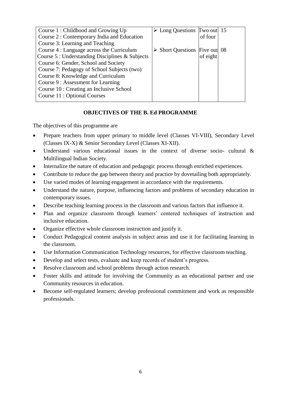| Course 1 : Childhood and Growing Up             | $\triangleright$ Long Questions Two out 15   |          |  |
|-------------------------------------------------|----------------------------------------------|----------|--|
| Course 2 : Contemporary India and Education     |                                              | of four  |  |
| Course 3: Learning and Teaching                 |                                              |          |  |
| Course 4 : Language across the Curriculum       | $\triangleright$ Short Questions Five out 08 |          |  |
| Course 5 : Understanding Disciplines & Subjects |                                              | of eight |  |
| Course 6: Gender, School and Society            |                                              |          |  |
| Course 7: Pedagogy of School Subjects (two)     |                                              |          |  |
| Course 8: Knowledge and Curriculum              |                                              |          |  |
| Course 9 : Assessment for Learning              |                                              |          |  |
| Course 10 : Creating an Inclusive School        |                                              |          |  |
| Course 11 : Optional Courses                    |                                              |          |  |
|                                                 |                                              |          |  |

#### **OBJECTIVES OF THE B. Ed PROGRAMME**

The objectives of this programme are

- Prepare teachers from upper primary to middle level (Classes VI-VIII), Secondary Level (Classes IX-X) & Senior Secondary Level (Classes XI-XII).
- Understand various educational issues in the context of diverse socio- cultural & Multilingual Indian Society.
- Internalize the nature of education and pedagogic process through enriched experiences.
- Contribute to reduce the gap between theory and practice by dovetailing both appropriately.
- Use varied modes of learning engagement in accordance with the requirements.
- Understand the nature, purpose, influencing factors and problems of secondary education in contemporary issues.
- Describe teaching learning process in the classroom and various factors that influence it.
- Plan and organize classroom through learners' centered techniques of instruction and inclusive education.
- Organize effective whole classroom instruction and justify it.
- Conduct Pedagogical content analysis in subject areas and use it for facilitating learning in the classroom.
- Use Information Communication Technology resources, for effective classroom teaching.
- Develop and select tests, evaluate and keep records of student's progress.
- Resolve classroom and school problems through action research.
- Foster skills and attitude for involving the Community as an educational partner and use Community resources in education.
- Become self-regulated learners; develop professional commitment and work as responsible professionals.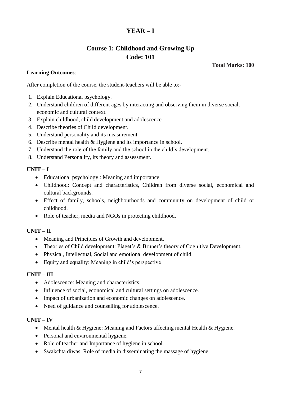# **YEAR – I**

# **Course 1: Childhood and Growing Up Code: 101**

**Total Marks: 100**

#### **Learning Outcomes**:

After completion of the course, the student-teachers will be able to:-

- 1. Explain Educational psychology.
- 2. Understand children of different ages by interacting and observing them in diverse social, economic and cultural context.
- 3. Explain childhood, child development and adolescence.
- 4. Describe theories of Child development.
- 5. Understand personality and its measurement.
- 6. Describe mental health & Hygiene and its importance in school.
- 7. Understand the role of the family and the school in the child's development.
- 8. Understand Personality, its theory and assessment.

#### **UNIT – I**

- Educational psychology : Meaning and importance
- Childhood: Concept and characteristics, Children from diverse social, economical and cultural backgrounds.
- Effect of family, schools, neighbourhoods and community on development of child or childhood.
- Role of teacher, media and NGOs in protecting childhood.

#### **UNIT – II**

- Meaning and Principles of Growth and development.
- Theories of Child development: Piaget's & Bruner's theory of Cognitive Development.
- Physical, Intellectual, Social and emotional development of child.
- Equity and equality: Meaning in child's perspective

#### **UNIT – III**

- Adolescence: Meaning and characteristics.
- Influence of social, economical and cultural settings on adolescence.
- Impact of urbanization and economic changes on adolescence.
- Need of guidance and counselling for adolescence.

#### **UNIT – IV**

- Mental health & Hygiene: Meaning and Factors affecting mental Health & Hygiene.
- Personal and environmental hygiene.
- Role of teacher and Importance of hygiene in school.
- Swakchta diwas, Role of media in disseminating the massage of hygiene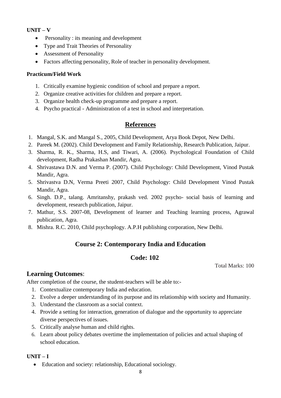#### **UNIT – V**

- Personality : its meaning and development
- Type and Trait Theories of Personality
- Assessment of Personality
- Factors affecting personality, Role of teacher in personality development.

#### **Practicum/Field Work**

- 1. Critically examine hygienic condition of school and prepare a report.
- 2. Organize creative activities for children and prepare a report.
- 3. Organize health check-up programme and prepare a report.
- 4. Psycho practical Administration of a test in school and interpretation.

# **References**

- 1. Mangal, S.K. and Mangal S., 2005, Child Development, Arya Book Depot, New Delhi.
- 2. Pareek M. (2002). Child Development and Family Relationship, Research Publication, Jaipur.
- 3. Sharma, R. K., Sharma, H.S, and Tiwari, A. (2006). Psychological Foundation of Child development, Radha Prakashan Mandir, Agra.
- 4. Shrivastawa D.N. and Verma P. (2007). Child Psychology: Child Development, Vinod Pustak Mandir, Agra.
- 5. Shrivastva D.N, Verma Preeti 2007, Child Psychology: Child Development Vinod Pustak Mandir, Agra.
- 6. Singh. D.P., talang. Amritanshy, prakash ved. 2002 psycho- social basis of learning and development, research publication, Jaipur.
- 7. Mathur, S.S. 2007-08, Development of learner and Teaching learning process, Agrawal publication, Agra.
- 8. Mishra. R.C. 2010, Child psychoplogy. A.P.H publishing corporation, New Delhi.

# **Course 2: Contemporary India and Education**

# **Code: 102**

Total Marks: 100

# **Learning Outcomes**:

After completion of the course, the student-teachers will be able to:-

- 1. Contextualize contemporary India and education.
- 2. Evolve a deeper understanding of its purpose and its relationship with society and Humanity.
- 3. Understand the classroom as a social context.
- 4. Provide a setting for interaction, generation of dialogue and the opportunity to appreciate diverse perspectives of issues.
- 5. Critically analyse human and child rights.
- 6. Learn about policy debates overtime the implementation of policies and actual shaping of school education.

#### **UNIT – I**

Education and society: relationship, Educational sociology.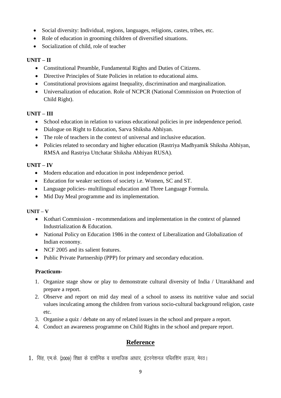- Social diversity: Individual, regions, languages, religions, castes, tribes, etc.
- Role of education in grooming children of diversified situations.
- Socialization of child, role of teacher

# **UNIT – II**

- Constitutional Preamble, Fundamental Rights and Duties of Citizens.
- Directive Principles of State Policies in relation to educational aims.
- Constitutional provisions against Inequality, discrimination and marginalization.
- Universalization of education. Role of NCPCR (National Commission on Protection of Child Right).

# **UNIT – III**

- School education in relation to various educational policies in pre independence period.
- Dialogue on Right to Education, Sarva Shiksha Abhiyan.
- The role of teachers in the context of universal and inclusive education.
- Policies related to secondary and higher education (Rastriya Madhyamik Shiksha Abhiyan, RMSA and Rastriya Uttchatar Shiksha Abhiyan RUSA).

# **UNIT – IV**

- Modern education and education in post independence period.
- Education for weaker sections of society i.e. Women, SC and ST.
- Language policies- multilingual education and Three Language Formula.
- Mid Day Meal programme and its implementation.

# **UNIT – V**

- Kothari Commission recommendations and implementation in the context of planned Industrialization & Education.
- National Policy on Education 1986 in the context of Liberalization and Globalization of Indian economy.
- NCF 2005 and its salient features.
- Public Private Partnership (PPP) for primary and secondary education.

# **Practicum-**

- 1. Organize stage show or play to demonstrate cultural diversity of India / Uttarakhand and prepare a report.
- 2. Observe and report on mid day meal of a school to assess its nutritive value and social values inculcating among the children from various socio-cultural background religion, caste etc.
- 3. Organise a quiz / debate on any of related issues in the school and prepare a report.
- 4. Conduct an awareness programme on Child Rights in the school and prepare report.

# **Reference**

1. सिंह, एम.के. (2009) शिक्षा के दार्शनिक व सामाजिक आधार, इंटरनेशनल पब्लिशिंग हाऊस, मेरठ।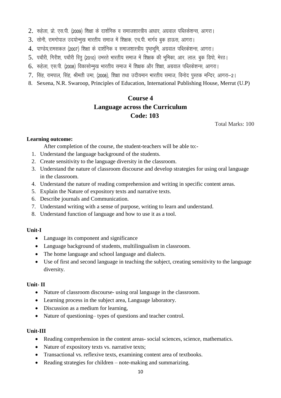- $2.$  रूहेला, प्रो. एस.पी. (2009) शिक्षा के दार्शनिक व समाजशास्त्रीय आधार, अग्रवाल पब्लिकेशन्स, आगरा।
- $3.$  सोनी, रामगोपाल उदयोन्मुख भारतीय समाज में शिक्षक, एच.पी. भार्गव बुक हाऊस, आगरा।
- 4. पाण्डेय,रामसकल (2007) शिक्षा के दार्शनिक व समाजशास्त्रीय पृष्ठभूमि, अग्रवाल पब्लिकेशन्स, आगरा।
- 5. पचौरी, गिरीश, पचौरी रितु (2010) उभरते भारतीय समाज में शिक्षक की भूमिका, आर. लाल. बुक डिपो, मेरठ।
- 6. रूहेला, एस.पी. (2008) विकासोन्मुख भारतीय समाज में शिक्षक और शिक्षा, अग्रवाल पब्लिकेशन्स, आगरा।
- 7. सिंह, रामपाल, सिंह, श्रीमती उमा, (2008), शिक्षा तथा उदीयमान भारतीय समाज, विनोद पस्तक मन्दिर, आगरा-2।
- 8. Sexena, N.R. Swaroop, Principles of Education, International Publishing House, Merrut (U.P)

# **Course 4 Language across the Curriculum Code: 103**

Total Marks: 100

#### **Learning outcome:**

After completion of the course, the student-teachers will be able to:-

- 1. Understand the language background of the students.
- 2. Create sensitivity to the language diversity in the classroom.
- 3. Understand the nature of classroom discourse and develop strategies for using oral language in the classroom.
- 4. Understand the nature of reading comprehension and writing in specific content areas.
- 5. Explain the Nature of expository texts and narrative texts.
- 6. Describe journals and Communication.
- 7. Understand writing with a sense of purpose, writing to learn and understand.
- 8. Understand function of language and how to use it as a tool.

#### **Unit-I**

- Language its component and significance
- Language background of students, multilingualism in classroom.
- The home language and school language and dialects.
- Use of first and second language in teaching the subject, creating sensitivity to the language diversity.

#### **Unit- II**

- Nature of classroom discourse- using oral language in the classroom.
- Learning process in the subject area, Language laboratory.
- Discussion as a medium for learning,
- Nature of questioning– types of questions and teacher control.

#### **Unit-III**

- Reading comprehension in the content areas- social sciences, science, mathematics.
- Nature of expository texts vs. narrative texts;
- Transactional vs. reflexive texts, examining content area of textbooks.
- Reading strategies for children  $-$  note-making and summarizing.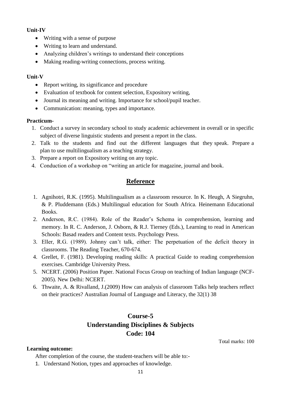#### **Unit-IV**

- Writing with a sense of purpose
- Writing to learn and understand.
- Analyzing children's writings to understand their conceptions
- Making reading-writing connections, process writing.

#### **Unit-V**

- Report writing, its significance and procedure
- Evaluation of textbook for content selection, Expository writing,
- Journal its meaning and writing. Importance for school/pupil teacher.
- Communication: meaning, types and importance.

#### **Practicum-**

- 1. Conduct a survey in secondary school to study academic achievement in overall or in specific subject of diverse linguistic students and present a report in the class.
- 2. Talk to the students and find out the different languages that they speak. Prepare a plan to use multilingualism as a teaching strategy.
- 3. Prepare a report on Expository writing on any topic.
- 4. Conduction of a workshop on "writing an article for magazine, journal and book.

# **Reference**

- 1. Agnihotri, R.K. (1995). Multilingualism as a classroom resource. In K. Heugh, A Siegruhn, & P. Pluddemann (Eds.) Multilingual education for South Africa. Heinemann Educational Books.
- 2. Anderson, R.C. (1984). Role of the Reader's Schema in comprehension, learning and memory. In R. C. Anderson, J. Osborn, & R.J. Tierney (Eds.), Learning to read in American Schools: Basad readers and Content texts. Psychology Press.
- 3. Eller, R.G. (1989). Johnny can't talk, either: The perpetuation of the deficit theory in classrooms. The Reading Teacher, 670-674.
- 4. Grellet, F. (1981). Developing reading skills: A practical Guide to reading comprehension exercises. Cambridge University Press.
- 5. NCERT. (2006) Position Paper. National Focus Group on teaching of Indian language (NCF-2005). New Delhi: NCERT.
- 6. Thwaite, A. & Rivalland, J.(2009) How can analysis of classroom Talks help teachers reflect on their practices? Australian Journal of Language and Literacy, the 32(1) 38

# **Course-5 Understanding Disciplines & Subjects Code: 104**

Total marks: 100

#### **Learning outcome:**

After completion of the course, the student-teachers will be able to:-

1. Understand Notion, types and approaches of knowledge.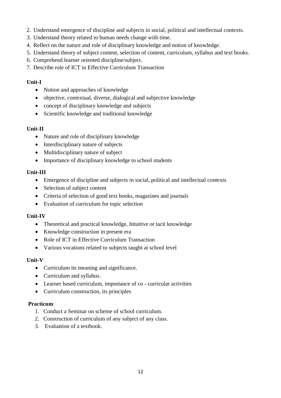- 2. Understand emergence of discipline and subjects in social, political and intellectual contexts.
- 3. Understand theory related to human needs change with time.
- 4. Reflect on the nature and role of disciplinary knowledge and notion of knowledge.
- 5. Understand theory of subject content, selection of content, curriculum, syllabus and text books.
- 6. Comprehend learner oriented discipline/subject.
- 7. Describe role of ICT in Effective Curriculum Transaction

#### **Unit-I**

- Notion and approaches of knowledge
- objective, contextual, diverse, dialogical and subjective knowledge
- concept of disciplinary knowledge and subjects
- Scientific knowledge and traditional knowledge

#### **Unit-II**

- Nature and role of disciplinary knowledge
- Interdisciplinary nature of subjects
- Multidisciplinary nature of subject
- Importance of disciplinary knowledge to school students

#### **Unit-III**

- Emergence of discipline and subjects in social, political and intellectual contexts
- Selection of subject content
- Criteria of selection of good text books, magazines and journals
- Evaluation of curriculum for topic selection

#### **Unit-IV**

- Theoretical and practical knowledge, Intuitive or tacit knowledge
- Knowledge construction in present era
- Role of ICT in Effective Curriculum Transaction
- Various vocations related to subjects taught at school level

#### **Unit-V**

- Curriculum its meaning and significance.
- Curriculum and syllabus.
- Learner based curriculum, importance of co curricular activities
- Curriculum construction, its principles

#### **Practicum**

- 1. Conduct a Seminar on scheme of school curriculum.
- 2. Construction of curriculum of any subject of any class.
- 3. Evaluation of a textbook.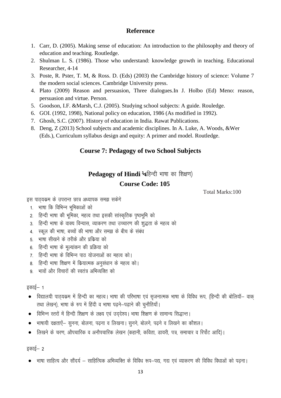# **Reference**

- 1. Carr, D. (2005). Making sense of education: An introduction to the philosophy and theory of education and teaching. Routledge.
- 2. Shulman L. S. (1986). Those who understand: knowledge growth in teaching. Educational Researcher, 4-14
- 3. Poste, R. Pster, T. M, & Ross. D. (Eds) (2003) the Cambridge history of science: Volume 7 the modern social sciences. Cambridge University press.
- 4. Plato (2009) Reason and persuasion, Three dialogues.In J. Holbo (Ed) Meno: reason, persuasion and virtue. Person.
- 5. Goodson, I.F. &Marsh, C.J. (2005). Studying school subjects: A guide. Rouledge.
- 6. GOI. (1992, 1998), National policy on education, 1986 (As modified in 1992).
- 7. Ghosh, S.C. (2007). History of education in India. Rawat Publications.
- 8. Deng, Z (2013) School subjects and academic disciplines. In A. Luke, A. Woods, &Wer (Eds.), Curriculum syllabus design and equity: A primer and model. Routledge.

# **Course 7: Pedagogy of two School Subjects**

# Pedagogy of Hindi <sup>1</sup>4हिन्दी भाषा का शिक्षण)

# **Course Code: 105**

Total Marks:100

इस पाठयक्रम के उपरान्त छात्र अध्यापक समझ सकेंगे

- 1. भाषा कि विभिन्न भूमिकाओं को
- 2. हिन्दी भाषा की भूमिका, महत्व तथा इसकी सांस्कृतिक पृष्ठभूमि को
- 3. हिन्दी भाषा के वाक्य विन्यास, व्याकरण तथा उच्चारण की शुद्धता के महत्व को
- 4. स्कल की भाषा, बच्चों की भाषा और समझ के बीच के संबंध
- 5. भाषा सीखने के तरीके और प्रक्रिया को
- 6. हिन्दी भाषा के मूल्यांकन की प्रक्रिया को
- 7. हिन्दी भाषा के विभिन्न पाठ योजनाओं का महत्व को।
- 8. हिन्दी भाषा शिक्षण में कियात्मक अनुसंधान के महत्व को।
- 9 भावों और विचारों की स्वतंत्र अभिव्यक्ति को

#### इकाई $-$  1

- विद्यालयी पाठ्यकम में हिन्दी का महत्व। भाषा की परिभाषा एवं सृजनात्मक भाषा के विविध रूप, (हिन्दी की बोलियॉ– वाक् तथा लेखन), भाषा के रुप में हिंदी व भाषा पढने–पढाने की चुनौतियाँ।
- $\bullet$  विभिन्न स्तरों में हिन्दी शिक्षण के लक्ष्य एवं उददेश्य। भाषा शिक्षण के सामान्य सिद्धान्त।
- $\bullet$  भाषायी दक्षताऐं— सुनना, बोलना, पढना व लिखना | सुनने, बोलने, पढने व लिखने का कौशल |
- लिखने के चरण, औपचारिक व अनौपचारिक लेखन (कहानी, कविता, डायरी, पत्र, समाचार व रिर्पोट आदि)।

इकाई $-$  2

• भाषा साहित्य और सौंदर्य — साहित्यिक अभिव्यक्ति के विविध रूप—पद्य, गद्य एवं व्याकरण की विविध विधाओं को पढना।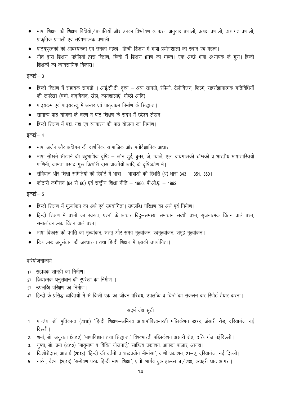- भाषा शिक्षण की शिक्षण विधियॉ / प्रणालियाँ और उनका विश्लेषण व्याकरण अनुवाद प्रणाली, प्रत्यक्ष प्रणाली, ढांचागत प्रणाली, प्राकृतिक प्रणाली एवं संप्रेषणात्मक प्रणाली
- पाठ्यपुस्तको की आवश्यकता एवं उनका महत्व। हिन्दी शिक्षण में भाषा प्रयोगशाला का स्थान एवं महत्व।
- गीत द्वारा शिक्षण, पहेलियों द्वारा शिक्षण, हिन्दी में शिक्षण भ्रमण का महत्व। एक अच्छे भाषा अध्यापक के गुण। हिन्दी शिक्षकों का व्यावसायिक विकास।

इकाई $-$  3

- $\bullet$  हिन्दी शिक्षण में सहायक सामग्री । आई.सी.टी. दृश्य श्रव्य सामग्री, रेडियो, टेलीविजन, फिल्में, सहसंज्ञानात्मक गतिविधियों की रूपरेखा (चर्चा, वादविवाद, खेल, कार्यशालाएँ, गोष्ठी आदि)
- $\bullet$  पाठयकम एवं पाठयवस्तु में अन्तर एवं पाठयकम निर्माण के सिद्धान्त।
- सामान्य पाठ योजना के चरण व पाठ शिक्षण के संदर्भ में उद्देश्य लेखन।
- हिन्दी शिक्षण में पद्य, गद्य एवं व्याकरण की पाठ योजना का निर्माण।

इकाई $-$  4

- $\bullet$  ) भाषा अर्जन और अधिगम की दार्शनिक, सामाजिक और मनोवैज्ञानिक आधार
- भाषा सीखने सीखाने की बहुभाषिक दृष्टि जॉन डुई, ब्रुनर, जे. प्याजे, एल. वायगात्स्की चॉम्स्की व भारतीय भाषाशास्त्रियों पाणिनी, कामता प्रसाद गुरू किशोरी दास वाजपेयी आदि के दृष्टिकोण में।
- संविधान और शिक्षा समितियों की रिपोर्ट में भाषा भाषाओं की स्थिति (अ) धारा 343 351, 350 |
- कोठारी कमीशन (64 से 66) एवं राष्ट्रीय शिक्षा नीति 1986, पी.ओ.ए. 1992

इकाई– 5

- $\bullet$  हिन्दी शिक्षण में मूल्यांकन का अर्थ एवं उपयोगिता। उपलब्धि परिक्षण का अर्थ एवं निर्माण।
- हिन्दी शिक्षण में प्रश्नों का स्वरूप, प्रश्नों के आधार बिंदु—समस्या समाधान सबंधी प्रश्न, सृजनात्मक चिंतन वाले प्रश्न, समालोचनात्मक चिंतन वाले प्रश्न ।
- भाषा विकास की प्रगति का मूल्यांकन, सतत् और समग्र मूल्यांकन, स्वमूल्यांकन, समूह मूल्यांकन।
- कियात्मक अनुसंधान की अवधारणा तथा हिन्दी शिक्षण में इसकी उपयोगिता।

#### परियोजनाकार्य

- 1ण सहायक सामग्री का निर्माण।
- 2ण कियात्मक अनुसंधान की रूपरेखा का निर्माण ।
- 3ण उपलब्धि परिक्षण का निर्माण।
- 4ण हिन्दी के प्रसिद्ध व्यक्तियों में से किसी एक का जीवन परिचय, उपलब्धि व चित्रों का संकलन कर रिपोर्ट तैयार करना।

#### संदर्भ ग्रंथ सूची

- 1. पाण्डेय. डॉ. मुतिकान्त (2010) "हिन्दी शिक्षण–अभिनव आयाम"विश्वभारती पब्लिकेशन 4378, अंसारी रोड, दरियागंज नई दिल्ली।
- 2. शर्मा, डॉ. अनुराधा (2012) "भाषाविज्ञान तथा सिद्धान्त," विश्वभारती पब्लिकेशन अंसारी रोड, दरियागंज नईदिल्ली।
- 3. गुप्ता, डॉ. प्रभा (2012) "मातृभाषा व विविध योजनाऍ," साहित्य प्रकाशन, आपका बाजार, आगरा।
- 4. किशोरीदास, आचार्य (2013) "हिन्दी की वर्तनी व शब्दप्रयोग मीमांसा", वाणी प्रकाशन, 21—ए, दरियागंज, नई दिल्ली।
- 5. नारंग, वैश्ना (2013) "सम्प्रेषण परक हिन्दी भाषा शिक्षा", ए.पी. भार्गव बुक हाऊस. 4 / 230, कचहरी घाट आगरा।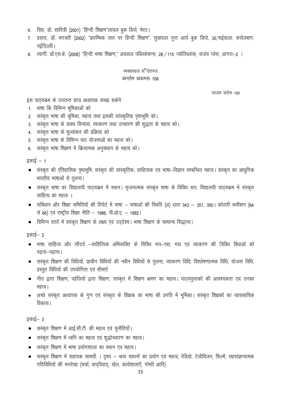- 6. सिंह, डॉ. सावित्री (2001) "हिन्दी शिक्षण"लायल बुक डिपो, मेरठ।
- 7. प्रसाद, डॉ. भगवती (2002) "प्रारम्भिक स्तर पर हिन्दी शिक्षण", सुखपाल गुप्त आर्य बुक डिपो, 30,नाईवाला, करोलबाग, नईदिल्ली।
- 8. ) त्यागी. डॉ.एस.के. (2008) "हिन्दी भाषा शिक्षण," अग्रवाल पब्लिकेशन्स, 28 ⁄ 115 ज्योतिब्लांक, सजंय प्लेस, आगरा—2

#### च्मकहवहल वर्षितापज ब्वनतेम ब्वकमरू 106

ज्वजंस डतोरू 100

इस पाठ्यकम के उपरान्त छात्र अध्यापक समझ सकेगे

- 1. भाषा कि विभिन्न भूमिकाओं को
- 2. सस्कृत भाषा की भूमिका, महत्व तथा इसकी सांस्कृतिक पृष्ठभूमि को।
- 3. सरकृत भाषा के वाक्य विन्यास, व्याकरण तथा उच्चारण की शुद्धता के महत्व को।
- 4. सस्कृत भाषा के मूल्यांकन की प्रक्रिया को
- 5. सरकृत भाषा के विभिन्न पाठ योजनाओं का महत्व को।
- 6. सरकृत भाषा शिक्षण में क्रियात्मक अनुसंधान के महत्व को।

इकाई  $-1$ 

- $\bullet$  संस्कृत की एतिहासिक पृष्ठभूमि, सस्कृत की सांस्कृतिक, साहित्यक एवं भाषा–विज्ञान सम्बन्धित महत्व। संस्कृत का आधुनिक भारतीय भाषाओं से तुलना।
- सस्कृत भाषा का विद्यालयी पाठ्यक्रम में स्थान। सृजनात्मक संस्कृत भाषा के विविध रूप, विद्यालयी पाठ्यक्रम में संस्कृत साहित्य का महत्व ।
- संविधान और शिक्षा समितियों की रिपोर्ट में भाषा भाषाओं की स्थिति (अ) धारा 343 351, 350 | कोठारी कमीशन (64 से 66) एवं राष्ट्रीय शिक्षा नीति – 1986, पी.ओ.ए. – 1992।
- विभिन्न स्तरों में सस्कृत शिक्षण के लक्ष्य एवं उद्देश्य। भाषा शिक्षण के सामान्य सिद्धान्त।

इकाई– 2

- भाषा साहित्य और सौंदर्य –साहित्यिक अभिव्यक्ति के विविध रूप–पद्य, गद्य एवं व्याकरण की विविध विधाओं को पढना–पढाना ।
- सरंकृत शिक्षण की विधियॉ, प्राचीन विधियों की नवीन विधियों से तुलना, व्याकरण विधि, विश्लेषणात्मक विधि, योजना विधि, प्रस्तुत विधियों की उपयोगिता एवं सीमाऐं
- गीत द्वारा शिक्षण, पहेलियों द्वारा शिक्षण, सरंकृत में शिक्षण भ्रमण का महत्व। पाठयपुस्तकों की आवश्यकता एवं उनका महत्व |
- अच्छे सस्कृत अध्यापक के गुण एवं संस्कृत के शिक्षक का भाषा की प्रगति में भूमिका। सस्कृत शिक्षकों का व्यावसायिक विकास।

इकाई $-$  3

- सरकृत शिक्षण में आई.सी.टी. की महत्व एवं चुनौतियाँ।
- सस्कृत शिक्षण में ध्वनि का महत्व एवं शुद्धोच्चारण का महत्व।
- सरकत शिक्षण में भाषा प्रयोगशाला का स्थान एवं महत्व।
- सरकृत शिक्षण में सहायक सामग्री । दृश्य श्रव्य साधनों का प्रयोग एवं महत्व, रेडियो, टेलीविजन, फिल्में, सहसंज्ञानात्मक गतिविधियों की रूपरेखा (चर्चा, वादविवाद, खेल, कार्यशालाएँ, गोष्ठी आदि)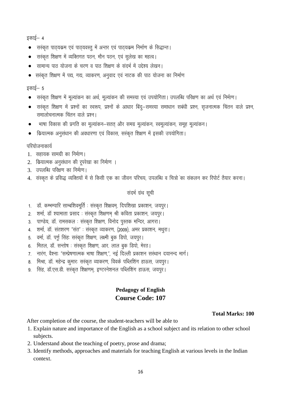इकाई— 4

- $\bullet$  सरंकृत पाठ्यक्रम एवं पाठ्यवस्तु में अन्तर एवं पाठ्यक्रम निर्माण के सिद्धान्त।
- $\bullet$  सस्कृत शिक्षण में व्यक्तिगत पठन, मौन पठन, एवं सुलेख का महत्व।
- $\bullet$  सामान्य पात योजना के चरण व पात शिक्षण के संदर्भ में उद्देश्य लेखन।
- सरकृत शिक्षण में पद्य, गद्य, व्याकरण, अनुवाद एवं नाटक की पाठ योजना का निर्माण

#### इकाई $-5$

- सरकृत शिक्षण में मूल्यांकन का अर्थ, मूल्यांकन की समस्या एवं उपयोगिता। उपलब्धि परिक्षण का अर्थ एवं निर्माण।
- $\bullet$  सरकृत शिक्षण में प्रश्नों का स्वरूप, प्रश्नों के आधार बिंदु-समस्या समाधान सबंधी प्रश्न, सृजनात्मक चिंतन वाले प्रश्न, समालोचनात्मक चिंतन वाले प्रश्न।
- भाषा विकास की प्रगति का मूल्यांकन-सतत् और समग्र मूल्यांकन, स्वमूल्यांकन, समूह मूल्यांकन।
- कियात्मक अनुसंधान की अवधारणा एवं विकास, सस्कृत शिक्षण में इसकी उपयोगिता।

#### परियोजनाकार्य

- 1. सहायक सामग्री का निर्माण।
- 2. कियात्मक अनुसंधान की रूपरेखा का निर्माण ।
- 3. उपलब्धि परिक्षण का निर्माण।
- 4. संस्कृत के प्रसिद्ध व्यक्तियों में से किसी एक का जीवन परिचय, उपलब्धि व चित्रों का संकलन कर रिपोर्ट तैयार करना।

# संदर्भ ग्रंथ सूची

- 1. डॉ. कम्भम्पारि साम्बशिवमूर्ति : संस्कृत शिक्षवम्, दिपशिखा प्रकाशन, जयपुर।
- 2. शर्मा, डॉ श्यामाता प्रसाद : संस्कृत शिक्षणम् श्री कविता प्रकाशन, जयपुर।
- 3. पाण्डेय, डॉ. रामसकल : संस्कृत शिक्षण, विनोद पुस्तक मन्दिर, आगरा।
- 4. शर्मा, डॉ. संतशरण "संत" : संस्कृत व्याकरण, (2009), अमर प्रकाशन, मथुरा।
- 5. वर्मा, डॉ. पर्णू सिंह: सस्कृत शिक्षण, लक्ष्मी बुक डिपो, जयपुर।
- 6. मितल, डॉ. सन्तोष : संस्कृत शिक्षण, आर. लाल बुक डिपो, मेरठ।
- 7. नारंग, वैश्नाः "सम्प्रेषणात्मक भाषा शिक्षण,", नई दिल्ली प्रकाशन सख्थान दयानन्द मार्ग।
- 8. मिश्रा, डॉ. महेन्द्र कुमारः सस्कृत व्याकरण, विवके पब्लिशिंग हाऊस, जयपुर।
- 9. सिंह, डॉ.एस.डी. सस्कृत शिक्षणम, इण्टरनेशनल पब्लिशिंग हाऊस, जयपुर।

# **Pedagogy of English Course Code: 107**

#### **Total Marks: 100**

After completion of the course, the student-teachers will be able to

- 1. Explain nature and importance of the English as a school subject and its relation to other school subjects.
- 2. Understand about the teaching of poetry, prose and drama;
- 3. Identify methods, approaches and materials for teaching English at various levels in the Indian context.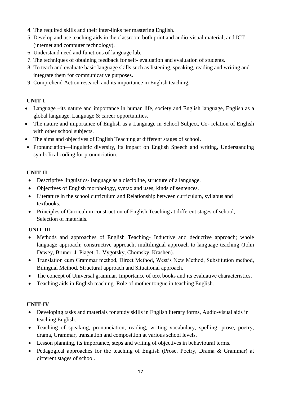- 4. The required skills and their inter-links per mastering English.
- 5. Develop and use teaching aids in the classroom both print and audio-visual material, and ICT (internet and computer technology).
- 6. Understand need and functions of language lab.
- 7. The techniques of obtaining feedback for self- evaluation and evaluation of students.
- 8. To teach and evaluate basic language skills such as listening, speaking, reading and writing and integrate them for communicative purposes.
- 9. Comprehend Action research and its importance in English teaching.

# **UNIT-I**

- Language –its nature and importance in human life, society and English language, English as a global language. Language & career opportunities.
- The nature and importance of English as a Language in School Subject, Co- relation of English with other school subjects.
- The aims and objectives of English Teaching at different stages of school.
- Pronunciation—linguistic diversity, its impact on English Speech and writing, Understanding symbolical coding for pronunciation.

#### **UNIT-II**

- Descriptive linguistics- language as a discipline, structure of a language.
- Objectives of English morphology, syntax and uses, kinds of sentences.
- Literature in the school curriculum and Relationship between curriculum, syllabus and textbooks.
- Principles of Curriculum construction of English Teaching at different stages of school, Selection of materials.

# **UNIT-III**

- Methods and approaches of English Teaching- Inductive and deductive approach; whole language approach; constructive approach; multilingual approach to language teaching (John Dewey, Bruner, J. Piaget, L. Vygotsky, Chomsky, Krashen).
- Translation cum Grammar method, Direct Method, West's New Method, Substitution method, Bilingual Method, Structural approach and Situational approach.
- The concept of Universal grammar, Importance of text books and its evaluative characteristics.
- Teaching aids in English teaching. Role of mother tongue in teaching English.

# **UNIT-IV**

- Developing tasks and materials for study skills in English literary forms, Audio-visual aids in teaching English.
- Teaching of speaking, pronunciation, reading, writing vocabulary, spelling, prose, poetry, drama, Grammar, translation and composition at various school levels.
- Lesson planning, its importance, steps and writing of objectives in behavioural terms.
- Pedagogical approaches for the teaching of English (Prose, Poetry, Drama & Grammar) at different stages of school.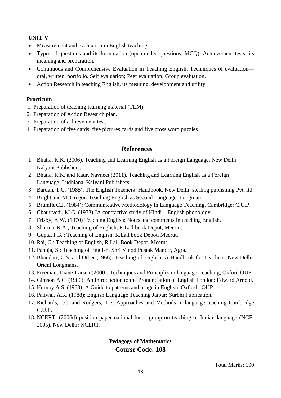## **UNIT-V**

- Measurement and evaluation in English teaching.
- Types of questions and its formulation (open-ended questions, MCQ). Achievement tests: its meaning and preparation.
- Continuous and Comprehensive Evaluation in Teaching English. Techniques of evaluation oral, written, portfolio, Self evaluation; Peer evaluation; Group evaluation.
- Action Research in teaching English, its meaning, development and utility.

#### **Practicum**

- 1. Preparation of teaching learning material (TLM),
- 2. Preparation of Action Research plan.
- 3. Preparation of achievement test.
- 4. Preparation of five cards, five pictures cards and five cross word puzzles.

# **References**

- 1. Bhatia, K.K. (2006). Teaching and Learning English as a Foreign Language. New Delhi: Kalyani Publishers.
- 2. Bhatia, K.K. and Kaur, Navneet (2011). Teaching and Learning English as a Foreign Language. Ludhiana: Kalyani Publishers.
- 3. Baruah, T.C. (1985): The English Teachers' Handbook, New Delhi: sterling publishing Pvt. ltd.
- 4. Bright and McGregor: Teaching English as Second Language, Longman.
- 5. Brumfit C.J. (1984): Communicative Methodology in Language Teaching. Cambridge: C.U.P.
- 6. Chaturvedi, M.G. (1973) "A contractive study of Hindi English phonology".
- 7. Frisby, A.W. (1970) Teaching English: Notes and comments in teaching English.
- 8. Sharma, R.A.; Teaching of English, R.Lall book Depot, Meerut.
- 9. Gupta, P.K.; Teaching of English, R.Lall book Depot, Meerut.
- 10. Rai, G.: Teaching of English, R.Lall Book Depot, Meerut.
- 11. Pahuja, S.; Teaching of English, Shri Vinod Pustak Mandir, Agra.
- 12. Bhandari, C.S. and Other (1966): Teaching of English: A Handbook for Teachers. New Delhi: Orient Longmans.
- 13. Freeman, Diane-Larsen (2000): Techniques and Principles in language Teaching, Oxford OUP
- 14. Gimson A.C. (1980): An Introduction to the Pronunciation of English London: Edward Arnold.
- 15. Hornby A.S. (1968): A Guide to patterns and usage in English. Oxford : OUP
- 16. Paliwal, A.K. (1988): English Language Teaching Jaipur: Surbhi Publication.
- 17. Richards, J.C. and Rodgers, T.S. Approaches and Methods in language teaching Cambridge C.U.P.
- 18. NCERT. (2006d) position paper national focus group on teaching of Indian language (NCF-2005). New Delhi: NCERT.

# **Pedagogy of Mathematics Course Code: 108**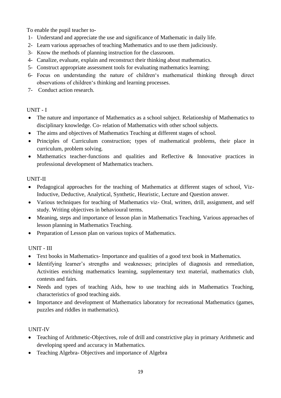To enable the pupil teacher to-

- 1- Understand and appreciate the use and significance of Mathematic in daily life.
- 2- Learn various approaches of teaching Mathematics and to use them judiciously.
- 3- Know the methods of planning instruction for the classroom.
- 4- Canalize, evaluate, explain and reconstruct their thinking about mathematics.
- 5- Construct appropriate assessment tools for evaluating mathematics learning;
- 6- Focus on understanding the nature of children's mathematical thinking through direct observations of children's thinking and learning processes.
- 7- Conduct action research.

# UNIT - I

- The nature and importance of Mathematics as a school subject. Relationship of Mathematics to disciplinary knowledge. Co- relation of Mathematics with other school subjects.
- The aims and objectives of Mathematics Teaching at different stages of school.
- Principles of Curriculum construction; types of mathematical problems, their place in curriculum, problem solving.
- Mathematics teacher-functions and qualities and Reflective & Innovative practices in professional development of Mathematics teachers.

# UNIT-II

- Pedagogical approaches for the teaching of Mathematics at different stages of school, Viz-Inductive, Deductive, Analytical, Synthetic, Heuristic, Lecture and Question answer.
- Various techniques for teaching of Mathematics viz- Oral, written, drill, assignment, and self study. Writing objectives in behavioural terms.
- Meaning, steps and importance of lesson plan in Mathematics Teaching, Various approaches of lesson planning in Mathematics Teaching.
- Preparation of Lesson plan on various topics of Mathematics.

# UNIT - III

- Text books in Mathematics- Importance and qualities of a good text book in Mathematics.
- Identifying learner's strengths and weaknesses; principles of diagnosis and remediation, Activities enriching mathematics learning, supplementary text material, mathematics club, contests and fairs.
- Needs and types of teaching Aids, how to use teaching aids in Mathematics Teaching, characteristics of good teaching aids.
- Importance and development of Mathematics laboratory for recreational Mathematics (games, puzzles and riddles in mathematics).

# UNIT-IV

- Teaching of Arithmetic-Objectives, role of drill and constrictive play in primary Arithmetic and developing speed and accuracy in Mathematics.
- Teaching Algebra- Objectives and importance of Algebra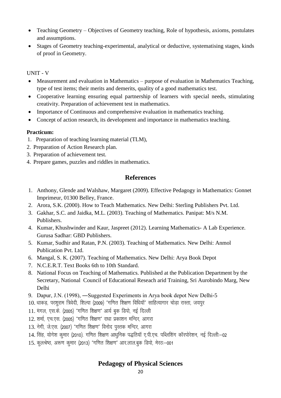- Teaching Geometry Objectives of Geometry teaching, Role of hypothesis, axioms, postulates and assumptions.
- Stages of Geometry teaching-experimental, analytical or deductive, systematising stages, kinds of proof in Geometry.

#### UNIT - V

- Measurement and evaluation in Mathematics purpose of evaluation in Mathematics Teaching, type of test items; their merits and demerits, quality of a good mathematics test.
- Cooperative learning ensuring equal partnership of learners with special needs, stimulating creativity. Preparation of achievement test in mathematics.
- Importance of Continuous and comprehensive evaluation in mathematics teaching.
- Concept of action research, its development and importance in mathematics teaching.

#### **Practicum:**

- 1. Preparation of teaching learning material (TLM),
- 2. Preparation of Action Research plan.
- 3. Preparation of achievement test.
- 4. Prepare games, puzzles and riddles in mathematics.

# **References**

- 1. Anthony, Glende and Walshaw, Margaret (2009). Effective Pedagogy in Mathematics: Gonnet Imprimeur, 01300 Belley, France.
- 2. Arora, S.K. (2000). How to Teach Mathematics. New Delhi: Sterling Publishers Pvt. Ltd.
- 3. Gakhar, S.C. and Jaidka, M.L. (2003). Teaching of Mathematics. Panipat: M/s N.M. Publishers.
- 4. Kumar, Khushwinder and Kaur, Jaspreet (2012). Learning Mathematics- A Lab Experience. Gurusa Sadhar: GBD Publishers.
- 5. Kumar, Sudhir and Ratan, P.N. (2003). Teaching of Mathematics. New Delhi: Anmol Publication Pvt. Ltd.
- 6. Mangal, S. K. (2007). Teaching of Mathematics. New Delhi: Arya Book Depot
- 7. N.C.E.R.T. Text Books 6th to 10th Standard.
- 8. National Focus on Teaching of Mathematics. Published at the Publication Department by the Secretary, National Council of Educational Reseach arid Training, Sri Aurobindo Marg, New Delhi
- 9. Dapur, J.N. (1998), ―Suggested Experiments in Arya book depot New Delhi-5
- $10.$  धाकड, परशुराम त्रिवेदी, शिल्पा (2009) "गणित शिक्षण विधियाँ" साहित्यागार चोडा रास्ता, जयपुर
- 11. मंगल, एस.के. (2005) "गणित शिक्षण" आर्य बुक डिपो, नई दिल्ली
- 12. शर्मा, एच.एस. (2005) "गणित शिक्षण" राधा प्रकाशन मन्दिर, आगरा
- 13. नेगी, जे.एस. (2007) "गणित शिक्षण" विनोद पुस्तक मन्दिर, आगरा
- 14. सिंह, योगेश कुमार (2010), गणित शिक्षण आधुनिक पद्धतियॉ ए.पी.एच. पब्लिशिंग कॉरपोरेशन, नई दिल्ली:-02
- 15. कुलश्रेष्ठ, अरूण कुमार (2013) "गणित शिक्षण" आर.लाल.बुक डिपो, मेरठः-001

# **Pedagogy of Physical Sciences**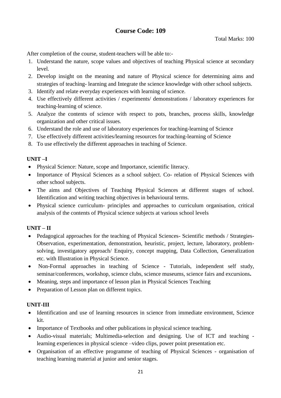# **Course Code: 109**

After completion of the course, student-teachers will be able to:-

- 1. Understand the nature, scope values and objectives of teaching Physical science at secondary level.
- 2. Develop insight on the meaning and nature of Physical science for determining aims and strategies of teaching- learning and Integrate the science knowledge with other school subjects.
- 3. Identify and relate everyday experiences with learning of science.
- 4. Use effectively different activities / experiments/ demonstrations / laboratory experiences for teaching-learning of science.
- 5. Analyze the contents of science with respect to pots, branches, process skills, knowledge organization and other critical issues.
- 6. Understand the role and use of laboratory experiences for teaching-learning of Science
- 7. Use effectively different activities/learning resources for teaching-learning of Science
- 8. To use effectively the different approaches in teaching of Science.

#### **UNIT –I**

- Physical Science: Nature, scope and Importance, scientific literacy.
- Importance of Physical Sciences as a school subject. Co- relation of Physical Sciences with other school subjects.
- The aims and Objectives of Teaching Physical Sciences at different stages of school. Identification and writing teaching objectives in behavioural terms.
- Physical science curriculum- principles and approaches to curriculum organisation, critical analysis of the contents of Physical science subjects at various school levels

# **UNIT – II**

- Pedagogical approaches for the teaching of Physical Sciences- Scientific methods / Strategies-Observation, experimentation, demonstration, heuristic, project, lecture, laboratory, problemsolving, investigatory approach/ Enquiry, concept mapping, Data Collection, Generalization etc. with Illustration in Physical Science.
- Non-Formal approaches in teaching of Science Tutorials, independent self study, seminar/conferences, workshop, science clubs, science museums, science fairs and excursions**.**
- Meaning, steps and importance of lesson plan in Physical Sciences Teaching
- Preparation of Lesson plan on different topics.

#### **UNIT-III**

- Identification and use of learning resources in science from immediate environment, Science kit.
- Importance of Textbooks and other publications in physical science teaching.
- Audio-visual materials; Multimedia-selection and designing. Use of ICT and teaching learning experiences in physical science –video clips, power point presentation etc.
- Organisation of an effective programme of teaching of Physical Sciences organisation of teaching learning material at junior and senior stages.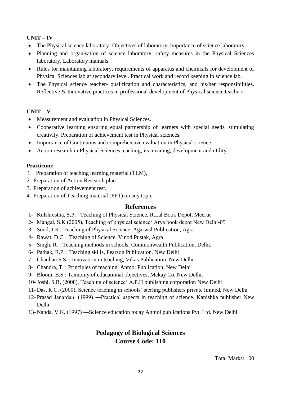# **UNIT – IV**

- The Physical science laboratory- Objectives of laboratory, importance of science laboratory.
- Planning and organisation of science laboratory, safety measures in the Physical Sciences laboratory, Laboratory manuals.
- Rules for maintaining laboratory, requirements of apparatus and chemicals for development of Physical Sciences lab at secondary level. Practical work and record keeping in science lab.
- The Physical science teacher- qualification and characteristics, and his/her responsibilities. Reflective & Innovative practices in professional development of Physical science teachers.

# **UNIT – V**

- Measurement and evaluation in Physical Sciences.
- Cooperative learning ensuring equal partnership of learners with special needs, stimulating creativity. Preparation of achievement test in Physical sciences.
- Importance of Continuous and comprehensive evaluation in Physical science.
- Action research in Physical Sciences teaching; its meaning, development and utility.

#### **Practicum:**

- 1. Preparation of teaching learning material (TLM),
- 2. Preparation of Action Research plan.
- 3. Preparation of achievement test.
- 4. Preparation of Teaching material (PPT) on any topic.

# **References**

- 1- Kulshrestha, S.P. : Teaching of Physical Science, R.Lal Book Depot, Meerut
- 2- Mangal, S.K (2005), Teaching of physical science' Arya book depot New Delhi-05
- 3- Sood, J.K.: Teaching of Physical Science, Agarwal Publication, Agra
- 4- Rawat, D.C. : Teaching of Science, Vinod Pustak, Agra
- 5- Singh, R. : Teaching methods in schools, Commonwealth Publication, Delhi.
- 6- Pathak, R.P. : Teaching skills, Pearson Publication, New Delhi
- 7- Chauhan S.S. : Innovation in teaching, Vikas Publication, New Delhi
- 8- Chandra, T. : Principles of teaching, Anmol Publication, New Delhi
- 9- Bloom, B.S.: Taxnomy of educational objectives, Mckay Co. New Delhi.
- 10-Joshi, S.R, (2008), Teaching of science' A.P.H publishing corporation New Delhi
- 11- Das, R.C, (2000), Science teaching in schools' sterling publishers private limited, New Delhi
- 12- Prasad Janardan: (1999) ―Practical aspects in teaching of science. Kanishka publisher New Delhi
- 13- Nanda, V.K. (1997) ―Science education today Anmol publications Pvt. Ltd. New Delhi

# **Pedagogy of Biological Sciences Course Code: 110**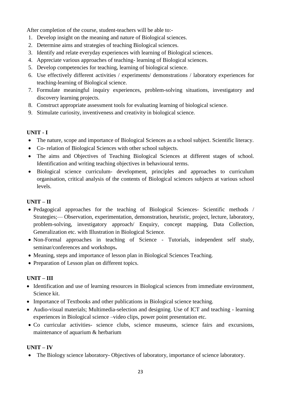After completion of the course, student-teachers will be able to:-

- 1. Develop insight on the meaning and nature of Biological sciences.
- 2. Determine aims and strategies of teaching Biological sciences.
- 3. Identify and relate everyday experiences with learning of Biological sciences.
- 4. Appreciate various approaches of teaching- learning of Biological sciences.
- 5. Develop competencies for teaching, learning of biological science.
- 6. Use effectively different activities / experiments/ demonstrations / laboratory experiences for teaching-learning of Biological science.
- 7. Formulate meaningful inquiry experiences, problem-solving situations, investigatory and discovery learning projects.
- 8. Construct appropriate assessment tools for evaluating learning of biological science.
- 9. Stimulate curiosity, inventiveness and creativity in biological science.

#### **UNIT - I**

- The nature, scope and importance of Biological Sciences as a school subject. Scientific literacy.
- Co- relation of Biological Sciences with other school subjects.
- The aims and Objectives of Teaching Biological Sciences at different stages of school. Identification and writing teaching objectives in behavioural terms.
- Biological science curriculum- development, principles and approaches to curriculum organisation, critical analysis of the contents of Biological sciences subjects at various school levels.

# **UNIT – II**

- Pedagogical approaches for the teaching of Biological Sciences- Scientific methods / Strategies;— Observation, experimentation, demonstration, heuristic, project, lecture, laboratory, problem-solving, investigatory approach/ Enquiry, concept mapping, Data Collection, Generalization etc. with Illustration in Biological Science.
- Non-Formal approaches in teaching of Science Tutorials, independent self study, seminar/conferences and workshops**.**
- Meaning, steps and importance of lesson plan in Biological Sciences Teaching.
- Preparation of Lesson plan on different topics.

# **UNIT – III**

- Identification and use of learning resources in Biological sciences from immediate environment, Science kit.
- Importance of Textbooks and other publications in Biological science teaching.
- Audio-visual materials; Multimedia-selection and designing. Use of ICT and teaching learning experiences in Biological science –video clips, power point presentation etc.
- Co curricular activities- science clubs, science museums, science fairs and excursions, maintenance of aquarium & herbarium

#### **UNIT – IV**

• The Biology science laboratory- Objectives of laboratory, importance of science laboratory.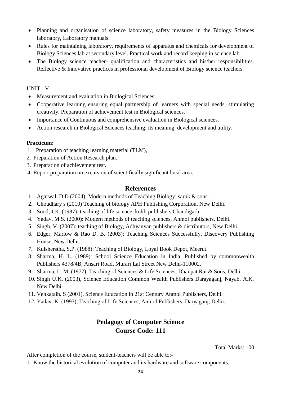- Planning and organisation of science laboratory, safety measures in the Biology Sciences laboratory, Laboratory manuals.
- Rules for maintaining laboratory, requirements of apparatus and chemicals for development of Biology Sciences lab at secondary level. Practical work and record keeping in science lab.
- The Biology science teacher- qualification and characteristics and his/her responsibilities. Reflective & Innovative practices in professional development of Biology science teachers.

#### UNIT - V

- Measurement and evaluation in Biological Sciences.
- Cooperative learning ensuring equal partnership of learners with special needs, stimulating creativity. Preparation of achievement test in Biological sciences.
- Importance of Continuous and comprehensive evaluation in Biological sciences.
- Action research in Biological Sciences teaching; its meaning, development and utility.

#### **Practicum:**

- 1. Preparation of teaching learning material (TLM),
- 2. Preparation of Action Research plan.
- 3. Preparation of achievement test.
- 4. Report preparation on excursion of scientifically significant local area.

# **References**

- 1. Agarwal, D.D (2004): Modern methods of Teaching Biology: saruk & sons.
- 2. Choudhary s (2010) Teaching of biology APH Publishing Corporation. New Delhi.
- 3. Sood, J.K. (1987): teaching of life science, kohli publishers Chandigarh.
- 4. Yadav, M.S. (2000): Modern methods of teaching sciences, Anmol publishers, Delhi.
- 5. Singh, V. (2007): teaching of Biology, Adhyanyan publishers & distributors, New Delhi.
- 6. Edger, Marlow & Rao D. B. (2003): Teaching Sciences Successfully, Discovery Publishing House, New Delhi.
- 7. Kulsherstha, S.P. (1988): Teaching of Biology, Loyal Book Depot, Meerut.
- 8. Sharma, H. L. (1989): School Science Education in India, Published by commonwealth Publishers 4378/4B, Ansari Road, Murari Lal Street New Delhi-110002.
- 9. Sharma, L. M. (1977): Teaching of Sciences & Life Sciences, Dhanpat Rai & Sons, Delhi.
- 10. Singh U.K. (2003), Science Education Common Wealth Publishers Darayaganj, Nayab, A.K. New Delhi.
- 11. Venkataih. S (2001), Science Education in 21st Century Anmol Publishers, Delhi.
- 12. Yadav. K. (1993), Teaching of Life Sciences, Anmol Publishers, Daryaganj, Delhi.

# **Pedagogy of Computer Science Course Code: 111**

Total Marks: 100

After completion of the course, student-teachers will be able to:-

1. Know the historical evolution of computer and its hardware and software components.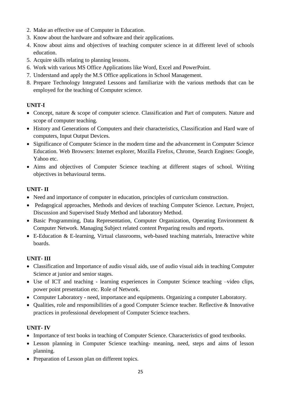- 2. Make an effective use of Computer in Education.
- 3. Know about the hardware and software and their applications.
- 4. Know about aims and objectives of teaching computer science in at different level of schools education.
- 5. Acquire skills relating to planning lessons.
- 6. Work with various MS Office Applications like Word, Excel and PowerPoint.
- 7. Understand and apply the M.S Office applications in School Management.
- 8. Prepare Technology Integrated Lessons and familiarize with the various methods that can be employed for the teaching of Computer science.

# **UNIT-I**

- Concept, nature & scope of computer science. Classification and Part of computers. Nature and scope of computer teaching.
- History and Generations of Computers and their characteristics, Classification and Hard ware of computers, Input Output Devices.
- Significance of Computer Science in the modern time and the advancement in Computer Science Education. Web Browsers: Internet explorer, Mozilla Firefox, Chrome, Search Engines: Google, Yahoo etc.
- Aims and objectives of Computer Science teaching at different stages of school. Writing objectives in behavioural terms.

#### **UNIT- II**

- Need and importance of computer in education, principles of curriculum construction.
- Pedagogical approaches, Methods and devices of teaching Computer Science. Lecture, Project, Discussion and Supervised Study Method and laboratory Method.
- Basic Programming, Data Representation, Computer Organization, Operating Environment & Computer Network. Managing Subject related content Preparing results and reports.
- E-Education & E-learning, Virtual classrooms, web-based teaching materials, Interactive white boards.

# **UNIT- III**

- Classification and Importance of audio visual aids, use of audio visual aids in teaching Computer Science at junior and senior stages.
- Use of ICT and teaching learning experiences in Computer Science teaching –video clips, power point presentation etc. Role of Network.
- Computer Laboratory need, importance and equipments. Organizing a computer Laboratory.
- Qualities, role and responsibilities of a good Computer Science teacher. Reflective & Innovative practices in professional development of Computer Science teachers.

#### **UNIT- IV**

- Importance of text books in teaching of Computer Science. Characteristics of good textbooks.
- Lesson planning in Computer Science teaching- meaning, need, steps and aims of lesson planning.
- Preparation of Lesson plan on different topics.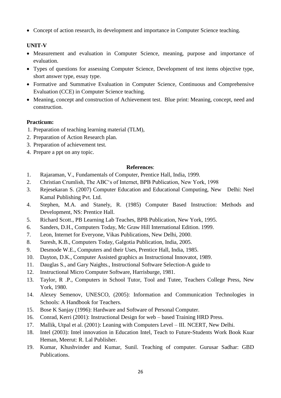• Concept of action research, its development and importance in Computer Science teaching.

# **UNIT-V**

- Measurement and evaluation in Computer Science, meaning, purpose and importance of evaluation.
- Types of questions for assessing Computer Science, Development of test items objective type, short answer type, essay type.
- Formative and Summative Evaluation in Computer Science, Continuous and Comprehensive Evaluation (CCE) in Computer Science teaching.
- Meaning, concept and construction of Achievement test. Blue print: Meaning, concept, need and construction.

# **Practicum:**

- 1. Preparation of teaching learning material (TLM),
- 2. Preparation of Action Research plan.
- 3. Preparation of achievement test.
- 4. Prepare a ppt on any topic.

#### **References**:

- 1. Rajaraman, V., Fundamentals of Computer, Prentice Hall, India, 1999.
- 2. Christian Crumlish, The ABC's of Internet, BPB Publication, New York, 1998
- 3. Rejesekaran S. (2007) Computer Education and Educational Computing, New Delhi: Neel Kamal Publishing Pvt. Ltd.
- 4. Stephen, M.A. and Stanely, R. (1985) Computer Based Instruction: Methods and Development, NS: Prentice Hall.
- 5. Richard Scott., PB Learning Lab Teaches, BPB Publication, New York, 1995.
- 6. Sanders, D.H., Computers Today, Mc Graw Hill International Edition. 1999.
- 7. Leon, Internet for Everyone, Vikas Publications, New Delhi, 2000.
- 8. Suresh, K.B., Computers Today, Galgotia Publication, India, 2005.
- 9. Desmode W.E., Computers and their Uses, Prentice Hall, India, 1985.
- 10. Dayton, D.K., Computer Assisted graphics as Instructional Innovatot, 1989.
- 11. Dauglas S., and Gary Naights., Instructional Software Selection-A guide to
- 12. Instructional Micro Computer Software, Harrisburge, 1981.
- 13. Taylor, R .P., Computers in School Tutor, Tool and Tutee, Teachers College Press, New York, 1980.
- 14. Alexey Semenov, UNESCO, (2005): Information and Communication Technologies in Schools: A Handbook for Teachers.
- 15. Bose K Sanjay (1996): Hardware and Software of Personal Computer.
- 16. Conrad, Kerri (2001): Instructional Design for web based Training HRD Press.
- 17. Mallik, Utpal et al. (2001): Leaning with Computers Level III. NCERT, New Delhi.
- 18. Intel (2003): Intel innovation in Education Intel, Teach to Future-Students Work Book Kuar Heman, Meerut: R. Lal Publisher.
- 19. Kumar, Khushvinder and Kumar, Sunil. Teaching of computer. Gurusar Sadhar: GBD Publications.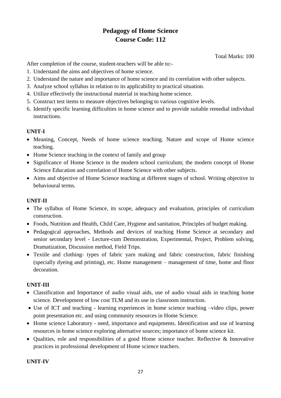# **Pedagogy of Home Science Course Code: 112**

Total Marks: 100

After completion of the course, student-teachers will be able to:-

- 1. Understand the aims and objectives of home science.
- 2. Understand the nature and importance of home science and its correlation with other subjects.
- 3. Analyze school syllabus in relation to its applicability to practical situation.
- 4. Utilize effectively the instructional material in teaching home science.
- 5. Construct test items to measure objectives belonging to various cognitive levels.
- 6. Identify specific learning difficulties in home science and to provide suitable remedial individual instructions.

# **UNIT-I**

- Meaning, Concept, Needs of home science teaching. Nature and scope of Home science teaching.
- Home Science teaching in the context of family and group
- Significance of Home Science in the modern school curriculum; the modern concept of Home Science Education and correlation of Home Science with other subjects.
- Aims and objective of Home Science teaching at different stages of school. Writing objective in behavioural terms.

# **UNIT-II**

- The syllabus of Home Science, its scope, adequacy and evaluation, principles of curriculum construction.
- Foods, Nutrition and Health, Child Care, Hygiene and sanitation, Principles of budget making.
- Pedagogical approaches, Methods and devices of teaching Home Science at secondary and senior secondary level - Lecture-cum Demonstration, Experimental, Project, Problem solving, Dramatization, Discussion method, Field Trips.
- Textile and clothing- types of fabric yarn making and fabric construction, fabric finishing (specially dyeing and printing), etc. Home management – management of time, home and floor decoration.

# **UNIT-III**

- Classification and Importance of audio visual aids, use of audio visual aids in teaching home science. Development of low cost TLM and its use in classroom instruction.
- Use of ICT and teaching learning experiences in home science teaching –video clips, power point presentation etc. and using community resources in Home Science.
- Home science Laboratory need, importance and equipments. Identification and use of learning resources in home science exploring alternative sources; importance of home science kit.
- Qualities, role and responsibilities of a good Home science teacher. Reflective  $\&$  Innovative practices in professional development of Home science teachers.

# **UNIT-IV**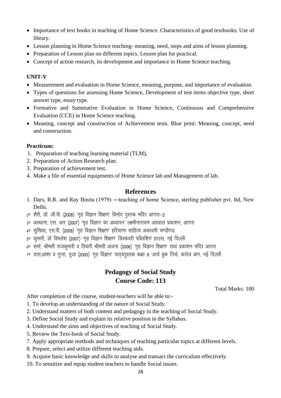- Importance of text books in teaching of Home Science. Characteristics of good textbooks. Use of library.
- Lesson planning in Home Science teaching- meaning, need, steps and aims of lesson planning.
- Preparation of Lesson plan on different topics. Lesson plan for practical.
- Concept of action research, its development and importance in Home Science teaching.

#### **UNIT-V**

- Measurement and evaluation in Home Science, meaning, purpose, and importance of evaluation.
- Types of questions for assessing Home Science, Development of test items objective type, short answer type, essay type.
- Formative and Summative Evaluation in Home Science, Continuous and Comprehensive Evaluation (CCE) in Home Science teaching.
- Meaning, concept and construction of Achievement tests. Blue print: Meaning, concept, need and construction.

#### **Practicum:**

- 1. Preparation of teaching learning material (TLM),
- 2. Preparation of Action Research plan.
- 3. Preparation of achievement test.
- 4. Make a file of essential equipments of Home Science lab and Management of lab.

# **References**

- 1. Dars, R.R. and Ray Binita (1979) ―teaching of home Science, sterling publisher pvt. Itd, New Delhi.
- 2ण शैरी, डॉ. जी.पी. (2008) 'गह विज्ञान शिक्षण' विनोद पस्तक मदिर आगरा-2
- $3^{\sigma}$  अस्थाना, एस. आर (2007) 'गृह विज्ञान का अध्यापन' लक्ष्मीनारायण अग्रवाल प्रकाशन, आगरा
- $4^{\circ}$  सखिया, एस.पी. (2009) 'गह विज्ञान शिक्षण' हरियाणा साहित्य अकादमी चण्डीगढ
- 5ण कुमारी, डॉ विमलेश (2007) 'गृह विज्ञान शिक्षण' डिस्कवरी पब्लिशिगं हाउस, नई दिल्ली
- $6^{\circ}$  शर्मा, श्रीमती राजकमारी व तिवारी श्रीमती अंजना (2006) 'गह विज्ञान शिक्षण' राधा प्रकाशन मंदिर आगरा
- 70 दास,आशा व गुप्ता, पूजा (2005) 'गृह विज्ञान' पाठ्यपुस्तक कक्षा 9 'आर्य बुक उिपो, करोल बाग, नई दिल्ली

# **Pedagogy of Social Study Course Code: 113**

Total Marks: 100

After completion of the course, student-teachers will be able to:-

- 1. To develop an understanding of the nature of Social Study.
- 2. Understand matters of both content and pedagogy in the teaching of Social Study.
- 3. Define Social Study and explain its relative position in the Syllabus.
- 4. Understand the aims and objectives of teaching of Social Study.
- 5. Review the Text-book of Social Study.
- 7. Apply appropriate methods and techniques of teaching particular topics at different levels.
- 8. Prepare, select and utilize different teaching aids.
- 9. Acquire basic knowledge and skills to analyse and transact the curriculum effectively.
- 10. To sensitize and equip student teachers to handle Social issues.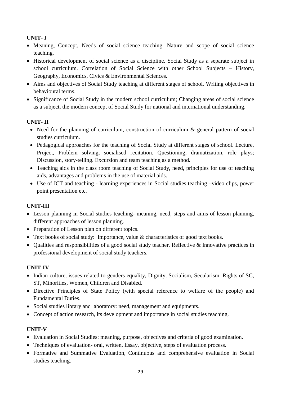# **UNIT- I**

- Meaning, Concept, Needs of social science teaching. Nature and scope of social science teaching.
- Historical development of social science as a discipline. Social Study as a separate subject in school curriculum. Correlation of Social Science with other School Subjects – History, Geography, Economics, Civics & Environmental Sciences.
- Aims and objectives of Social Study teaching at different stages of school. Writing objectives in behavioural terms.
- Significance of Social Study in the modern school curriculum; Changing areas of social science as a subject, the modern concept of Social Study for national and international understanding.

# **UNIT- II**

- Need for the planning of curriculum, construction of curriculum & general pattern of social studies curriculum.
- Pedagogical approaches for the teaching of Social Study at different stages of school. Lecture, Project, Problem solving, socialised recitation. Questioning; dramatization, role plays; Discussion, story-telling. Excursion and team teaching as a method.
- Teaching aids in the class room teaching of Social Study, need, principles for use of teaching aids, advantages and problems in the use of material aids.
- Use of ICT and teaching learning experiences in Social studies teaching –video clips, power point presentation etc.

# **UNIT-III**

- Lesson planning in Social studies teaching- meaning, need, steps and aims of lesson planning, different approaches of lesson planning.
- Preparation of Lesson plan on different topics.
- Text books of social study: Importance, value & characteristics of good text books.
- Qualities and responsibilities of a good social study teacher. Reflective & Innovative practices in professional development of social study teachers.

# **UNIT-IV**

- Indian culture, issues related to genders equality, Dignity, Socialism, Secularism, Rights of SC, ST, Minorities, Women, Children and Disabled.
- Directive Principles of State Policy (with special reference to welfare of the people) and Fundamental Duties.
- Social studies library and laboratory: need, management and equipments.
- Concept of action research, its development and importance in social studies teaching.

# **UNIT-V**

- Evaluation in Social Studies: meaning, purpose, objectives and criteria of good examination.
- Techniques of evaluation- oral, written, Essay, objective, steps of evaluation process.
- Formative and Summative Evaluation, Continuous and comprehensive evaluation in Social studies teaching.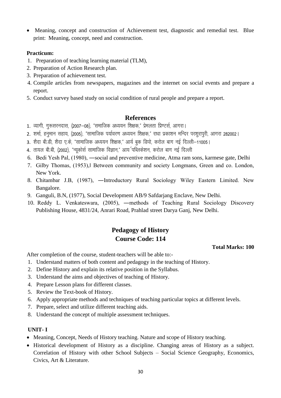• Meaning, concept and construction of Achievement test, diagnostic and remedial test. Blue print: Meaning, concept, need and construction.

#### **Practicum:**

- 1. Preparation of teaching learning material (TLM),
- 2. Preparation of Action Research plan.
- 3. Preparation of achievement test.
- 4. Compile articles from newspapers, magazines and the internet on social events and prepare a report.
- 5. Conduct survey based study on social condition of rural people and prepare a report.

# **References**

- 1. व्यागी, गुरूसरनदास, (2007–08), "समाजिक अध्ययन शिक्षक," प्रेमलता प्रिण्टर्स, आगरा।
- 2. शर्मा, हनमान सहाय, (2005), "सामाजिक पर्यावरण अध्ययन शिक्षक," राधा प्रकाशन मन्दिर परशरापरी, आगरा 282002।
- 3. शैदा बी.डी, शैदा ए.के, "सामाजिक अध्ययन शिक्षक," आर्य बुक डिपो, करोल बाग नई दिल्ली–11005।
- 4. तायल बी.बी. (2002). "न्यकोर्स सामाजिक विज्ञान." आय<sup>्</sup>पब्लिकेशन. करोल बाग नई दिल्ली
- 6. Bedi Yesh Pal, (1980), ―social and preventive medicine, Atma ram sons, karmese gate, Delhi
- 7. Gilby Thomas, (1953),‖ Between community and society Longmans, Green and co. London, New York.
- 8. Chitambar J.B, (1987), ―Introductory Rural Sociology Wiley Eastern Limited. New Bangalore.
- 9. Ganguli, B.N, (1977), Social Development AB/9 Safdarjang Enclave, New Delhi.
- 10. Reddy L. Venkateswara, (2005), ―methods of Teaching Rural Sociology Discovery Publishing House, 4831/24, Anrari Road, Prahlad street Darya Ganj, New Delhi.

# **Pedagogy of History Course Code: 114**

#### **Total Marks: 100**

After completion of the course, student-teachers will be able to:-

- 1. Understand matters of both content and pedagogy in the teaching of History.
- 2. Define History and explain its relative position in the Syllabus.
- 3. Understand the aims and objectives of teaching of History.
- 4. Prepare Lesson plans for different classes.
- 5. Review the Text-book of History.
- 6. Apply appropriate methods and techniques of teaching particular topics at different levels.
- 7. Prepare, select and utilize different teaching aids.
- 8. Understand the concept of multiple assessment techniques.

# **UNIT- I**

- Meaning, Concept, Needs of History teaching. Nature and scope of History teaching.
- Historical development of History as a discipline. Changing areas of History as a subject. Correlation of History with other School Subjects – Social Science Geography, Economics, Civics, Art & Literature.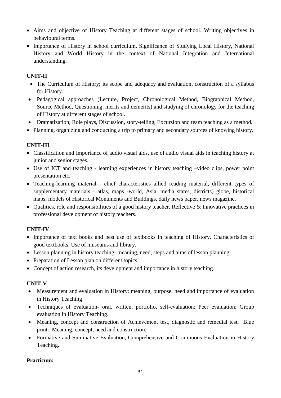- Aims and objective of History Teaching at different stages of school. Writing objectives in behavioural terms.
- Importance of History in school curriculum. Significance of Studying Local History, National History and World History in the context of National Integration and International understanding.

# **UNIT-II**

- The Curriculum of History; its scope and adequacy and evaluation, construction of a syllabus for History.
- Pedagogical approaches (Lecture, Project, Chronological Method, Biographical Method, Source Method, Questioning, merits and demerits) and studying of chronology for the teaching of History at different stages of school.
- Dramatization, Role plays, Discussion, story-telling, Excursion and team teaching as a method.
- Planning, organizing and conducting a trip to primary and secondary sources of knowing history.

# **UNIT-III**

- Classification and Importance of audio visual aids, use of audio visual aids in teaching history at junior and senior stages.
- Use of ICT and teaching learning experiences in history teaching –video clips, power point presentation etc.
- Teaching-learning material chief characteristics allied reading material, different types of supplementary materials - atlas, maps -world, Asia, media states, districts) globe, historical maps, models of Historical Monuments and Buildings, daily news paper, news magazine.
- Qualities, role and responsibilities of a good history teacher. Reflective & Innovative practices in professional development of history teachers.

# **UNIT-IV**

- Importance of text books and best use of textbooks in teaching of History. Characteristics of good textbooks. Use of museums and library.
- Lesson planning in history teaching- meaning, need, steps and aims of lesson planning.
- Preparation of Lesson plan on different topics.
- Concept of action research, its development and importance in history teaching.

# **UNIT-V**

- Measurement and evaluation in History: meaning, purpose, need and importance of evaluation in History Teaching
- Techniques of evaluation- oral, written, portfolio, self-evaluation; Peer evaluation; Group evaluation in History Teaching.
- Meaning, concept and construction of Achievement test, diagnostic and remedial test. Blue print: Meaning, concept, need and construction.
- Formative and Summative Evaluation, Comprehensive and Continuous Evaluation in History Teaching.

# **Practicum:**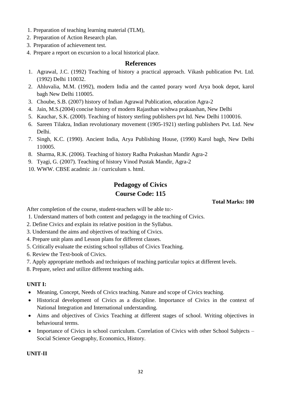- 1. Preparation of teaching learning material (TLM),
- 2. Preparation of Action Research plan.
- 3. Preparation of achievement test.
- 4. Prepare a report on excursion to a local historical place.

# **References**

- 1. Agrawal, J.C. (1992) Teaching of history a practical approach. Vikash publication Pvt. Ltd. (1992) Delhi 110032.
- 2. Ahluvalia, M.M. (1992), modern India and the canted porary word Arya book depot, karol bagh New Delhi 110005.
- 3. Choube, S.B. (2007) history of Indian Agrawal Publication, education Agra-2
- 4. Jain, M.S.(2004) concise history of modern Rajasthan wishwa prakaashan, New Delhi
- 5. Kauchar, S.K. (2000). Teaching of history sterling publishers pvt ltd. New Delhi 1100016.
- 6. Sareen Tilakra, Indian revolutionary movement (1905-1921) sterling publishers Pvt. Ltd. New Delhi.
- 7. Singh, K.C. (1990). Ancient India, Arya Publishing House, (1990) Karol bagh, New Delhi 110005.
- 8. Sharma, R.K. (2006). Teaching of history Radha Prakashan Mandir Agra-2
- 9. Tyagi, G. (2007). Teaching of history Vinod Pustak Mandir, Agra-2
- 10. WWW. CBSE acadmic .in / curriculum s. html.

# **Pedagogy of Civics Course Code: 115**

 **Total Marks: 100** 

After completion of the course, student-teachers will be able to:-

- 1. Understand matters of both content and pedagogy in the teaching of Civics.
- 2. Define Civics and explain its relative position in the Syllabus.
- 3. Understand the aims and objectives of teaching of Civics.
- 4. Prepare unit plans and Lesson plans for different classes.
- 5. Critically evaluate the existing school syllabus of Civics Teaching.
- 6. Review the Text-book of Civics.
- 7. Apply appropriate methods and techniques of teaching particular topics at different levels.
- 8. Prepare, select and utilize different teaching aids.

#### **UNIT I:**

- Meaning, Concept, Needs of Civics teaching. Nature and scope of Civics teaching.
- Historical development of Civics as a discipline. Importance of Civics in the context of National Integration and International understanding.
- Aims and objectives of Civics Teaching at different stages of school. Writing objectives in behavioural terms.
- Importance of Civics in school curriculum. Correlation of Civics with other School Subjects Social Science Geography, Economics, History.

# **UNIT-II**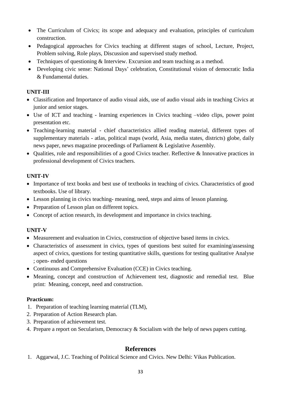- The Curriculum of Civics; its scope and adequacy and evaluation, principles of curriculum construction.
- Pedagogical approaches for Civics teaching at different stages of school, Lecture, Project, Problem solving, Role plays, Discussion and supervised study method.
- Techniques of questioning & Interview. Excursion and team teaching as a method.
- Developing civic sense: National Days' celebration, Constitutional vision of democratic India & Fundamental duties.

#### **UNIT-III**

- Classification and Importance of audio visual aids, use of audio visual aids in teaching Civics at junior and senior stages.
- Use of ICT and teaching learning experiences in Civics teaching –video clips, power point presentation etc.
- Teaching-learning material chief characteristics allied reading material, different types of supplementary materials - atlas, political maps (world, Asia, media states, districts) globe, daily news paper, news magazine proceedings of Parliament & Legislative Assembly.
- Qualities, role and responsibilities of a good Civics teacher. Reflective  $\&$  Innovative practices in professional development of Civics teachers.

#### **UNIT-IV**

- Importance of text books and best use of textbooks in teaching of civics. Characteristics of good textbooks. Use of library.
- Lesson planning in civics teaching- meaning, need, steps and aims of lesson planning.
- Preparation of Lesson plan on different topics.
- Concept of action research, its development and importance in civics teaching.

#### **UNIT-V**

- Measurement and evaluation in Civics, construction of objective based items in civics.
- Characteristics of assessment in civics, types of questions best suited for examining/assessing aspect of civics, questions for testing quantitative skills, questions for testing qualitative Analyse ; open- ended questions
- Continuous and Comprehensive Evaluation (CCE) in Civics teaching.
- Meaning, concept and construction of Achievement test, diagnostic and remedial test. Blue print: Meaning, concept, need and construction.

#### **Practicum:**

- 1. Preparation of teaching learning material (TLM),
- 2. Preparation of Action Research plan.
- 3. Preparation of achievement test.
- 4. Prepare a report on Secularism, Democracy & Socialism with the help of news papers cutting.

# **References**

1. Aggarwal, J.C. Teaching of Political Science and Civics. New Delhi: Vikas Publication.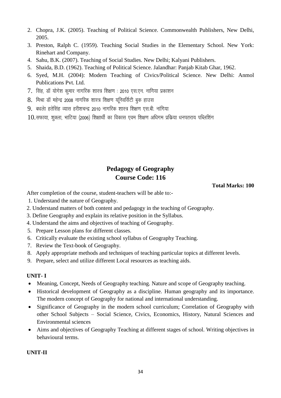- 2. Chopra, J.K. (2005). Teaching of Political Science. Commonwealth Publishers, New Delhi, 2005.
- 3. Preston, Ralph C. (1959). Teaching Social Studies in the Elementary School. New York: Rinehart and Company.
- 4. Sahu, B.K. (2007). Teaching of Social Studies. New Delhi; Kalyani Publishers.
- 5. Shaida, B.D. (1962). Teaching of Political Science. Jalandhar: Panjab Kitab Ghar, 1962.
- 6. Syed, M.H. (2004): Modern Teaching of Civics/Political Science. New Delhi: Anmol Publications Pvt. Ltd.
- $7.$  सिंह, डॉ योगेश कमार नागरिक शास्त्र शिक्षण : 2010 एस.एन. नागिया प्रकाशन
- $8.$  मिश्रा डॉ महेन्द्र 2008 नागरिक शास्त्र शिक्षण यनिवर्सिटी बुक हाउस
- $9.$  बंधलें। हतेसिंह व्यास हरीशचन्द्र 2010 नागरिक शास्त्र शिक्षण एस.बी. नांगिया
- $10.$ सफाया, शुक्ला, भाटिया (2006) शिक्षार्थी का विकास एवम शिक्षण अधिगम प्रकिया धनपतराय पब्लिशिंग

# **Pedagogy of Geography Course Code: 116**

**Total Marks: 100** 

After completion of the course, student-teachers will be able to:-

- 1. Understand the nature of Geography.
- 2. Understand matters of both content and pedagogy in the teaching of Geography.
- 3. Define Geography and explain its relative position in the Syllabus.
- 4. Understand the aims and objectives of teaching of Geography.
- 5. Prepare Lesson plans for different classes.
- 6. Critically evaluate the existing school syllabus of Geography Teaching.
- 7. Review the Text-book of Geography.
- 8. Apply appropriate methods and techniques of teaching particular topics at different levels.
- 9. Prepare, select and utilize different Local resources as teaching aids.

# **UNIT- I**

- Meaning, Concept, Needs of Geography teaching. Nature and scope of Geography teaching.
- Historical development of Geography as a discipline. Human geography and its importance. The modern concept of Geography for national and international understanding.
- Significance of Geography in the modern school curriculum; Correlation of Geography with other School Subjects – Social Science, Civics, Economics, History, Natural Sciences and Environmental sciences
- Aims and objectives of Geography Teaching at different stages of school. Writing objectives in behavioural terms.

# **UNIT-II**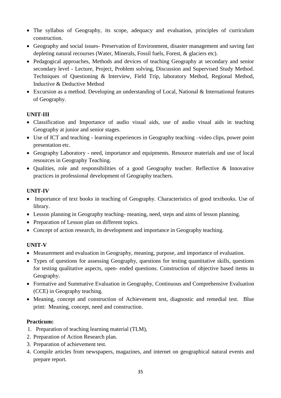- The syllabus of Geography, its scope, adequacy and evaluation, principles of curriculum construction.
- Geography and social issues- Preservation of Environment, disaster management and saving fast depleting natural recourses (Water, Minerals, Fossil fuels, Forest, & glaciers etc).
- Pedagogical approaches, Methods and devices of teaching Geography at secondary and senior secondary level - Lecture, Project, Problem solving, Discussion and Supervised Study Method. Techniques of Questioning & Interview, Field Trip, laboratory Method, Regional Method, Inductive & Deductive Method
- Excursion as a method. Developing an understanding of Local, National & International features of Geography.

# **UNIT-III**

- Classification and Importance of audio visual aids, use of audio visual aids in teaching Geography at junior and senior stages.
- Use of ICT and teaching learning experiences in Geography teaching –video clips, power point presentation etc.
- Geography Laboratory need, importance and equipments. Resource materials and use of local resources in Geography Teaching.
- Qualities, role and responsibilities of a good Geography teacher. Reflective & Innovative practices in professional development of Geography teachers.

# **UNIT-IV**

- Importance of text books in teaching of Geography. Characteristics of good textbooks. Use of library.
- Lesson planning in Geography teaching- meaning, need, steps and aims of lesson planning.
- Preparation of Lesson plan on different topics.
- Concept of action research, its development and importance in Geography teaching.

# **UNIT-V**

- Measurement and evaluation in Geography, meaning, purpose, and importance of evaluation.
- Types of questions for assessing Geography, questions for testing quantitative skills, questions for testing qualitative aspects, open- ended questions. Construction of objective based items in Geography.
- Formative and Summative Evaluation in Geography, Continuous and Comprehensive Evaluation (CCE) in Geography teaching.
- Meaning, concept and construction of Achievement test, diagnostic and remedial test. Blue print: Meaning, concept, need and construction.

# **Practicum:**

- 1. Preparation of teaching learning material (TLM),
- 2. Preparation of Action Research plan.
- 3. Preparation of achievement test.
- 4. Compile articles from newspapers, magazines, and internet on geographical natural events and prepare report.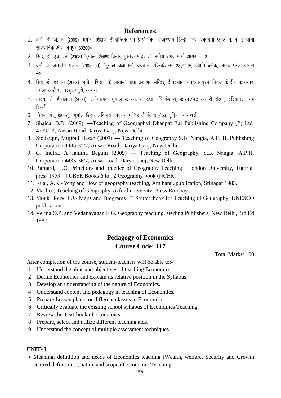# **References:**

- 1. वर्मा, डॉ.एल.एन. (2009) 'भगोल शिक्षणः सैद्धान्तिक एव प्रायोगिक', राजस्थान हिन्दी ग्रन्थ अकादमी प्लाट न. 1, झालाना सांस्थानिक क्षेत्र, जयपुर 302004
- $2.$  सिंह, डॉ. एच. एन. (2008) 'भगोल शिक्षणः विनोद पस्तक मंदिर डॉ. रागेय राधव मार्ग, आगरा 2
- $3.$  वर्मा डॉ. जगदीश प्रसाद (2008-09). 'भगोल अध्यापन', अग्रवाल पब्लिकेशन्स, 28 /115, ज्याति ब्लॉक, संजय प्लेस आगरा  $-2$
- 4. सिंह, डॉ. हरपाल (2008) 'भुगोल शिक्षण के आयाम', राधा प्रकाशन मन्दिर, दीनदयाल उपाध्यायपुरम, निकट केन्द्रीय कारागार, नगला अजीता, परशुरामपूरी, आगरा
- $5.$  यादव, प्रो. हीरालाल (2000) 'प्रयोगात्मक भूगोल के आधार' राधा पब्लिकेशन्स, 4378 / 4ठ अंसारी रोड , दरियागंज, नई दिल्ली
- 6. गोयल, मंज (2007), 'भगोल शिक्षण', विजय प्रकाशन मन्दिर सी.के. 15 / 53 सडिया, वाराणसी
- 7. Shaida, B.D. (2009), ―Teaching of Geography‖ Dhanpat Rai Publishing Company (P) Ltd. 4779/23, Ansari Road Dariya Ganj. New Delhi.
- 8. Siddaiqui, Mujibul Hasan (2007) ― Teaching of Geography S.B. Nangia, A.P. H. Publishing Corporation 4435-35/7, Ansari Road, Dariya Ganj, New Delhi.
- 9. G. Indira, A Jahitha Begum (2009) ― Teaching of Geography, S.B. Nangia, A.P.H. Corporation 4435-36/7, Ansari road, Darya Ganj, New Delhi.
- 10. Barnard, H.C. Principles and praetice of Geography Teaching , London University, Tutorial press 1953  $\Box$  CBSE Books 6 to 12 Geography book (NCERT)
- 11. Kual, A.K.- Why and How of geography teaching, Am banu, publication, Srinagar 1983.
- 12. Machee, Teaching of Geography, oxford university, Press Bombay
- 13. Monk House F.J.- Maps and Diograms  $\Box$  Source book for Teaching of Geography, UNESCO publication
- 14. Verma O.P. and Vedanayagan E.G. Geography teaching, sterling Publishers, New Delhi, 3rd Ed 1987

# **Pedagogy of Economics Course Code: 117**

Total Marks: 100

After completion of the course, student-teachers will be able to:-

- 1. Understand the aims and objectives of teaching Economics.
- 2. Define Economics and explain its relative position in the Syllabus.
- 3. Develop an understanding of the nature of Economics.
- 4. Understand content and pedagogy in teaching of Economics.
- 5. Prepare Lesson plans for different classes in Economics.
- 6. Critically evaluate the existing school syllabus of Economics Teaching.
- 7. Review the Text-book of Economics.
- 8. Prepare, select and utilize different teaching aids.
- 9. Understand the concept of multiple assessment techniques.

#### **UNIT- I**

 Meaning, definition and needs of Economics teaching (Wealth, welfare, Security and Growth centred definitions), nature and scope of Economic Teaching.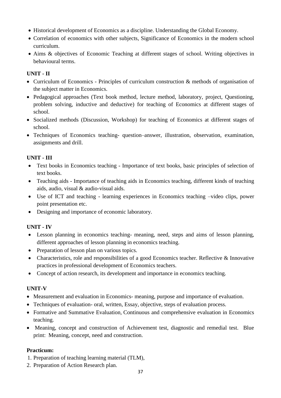- Historical development of Economics as a discipline. Understanding the Global Economy.
- Correlation of economics with other subjects, Significance of Economics in the modern school curriculum.
- Aims & objectives of Economic Teaching at different stages of school. Writing objectives in behavioural terms.

# **UNIT - II**

- Curriculum of Economics Principles of curriculum construction & methods of organisation of the subject matter in Economics.
- Pedagogical approaches (Text book method, lecture method, laboratory, project, Questioning, problem solving, inductive and deductive) for teaching of Economics at different stages of school.
- Socialized methods (Discussion, Workshop) for teaching of Economics at different stages of school.
- Techniques of Economics teaching- question–answer, illustration, observation, examination, assignments and drill.

#### **UNIT - III**

- Text books in Economics teaching Importance of text books, basic principles of selection of text books.
- Teaching aids Importance of teaching aids in Economics teaching, different kinds of teaching aids, audio, visual & audio-visual aids.
- Use of ICT and teaching learning experiences in Economics teaching –video clips, power point presentation etc.
- Designing and importance of economic laboratory.

# **UNIT - IV**

- Lesson planning in economics teaching- meaning, need, steps and aims of lesson planning, different approaches of lesson planning in economics teaching.
- Preparation of lesson plan on various topics.
- Characteristics, role and responsibilities of a good Economics teacher. Reflective & Innovative practices in professional development of Economics teachers.
- Concept of action research, its development and importance in economics teaching.

#### **UNIT-V**

- Measurement and evaluation in Economics- meaning, purpose and importance of evaluation.
- Techniques of evaluation- oral, written, Essay, objective, steps of evaluation process.
- Formative and Summative Evaluation, Continuous and comprehensive evaluation in Economics teaching.
- Meaning, concept and construction of Achievement test, diagnostic and remedial test. Blue print: Meaning, concept, need and construction.

#### **Practicum:**

- 1. Preparation of teaching learning material (TLM),
- 2. Preparation of Action Research plan.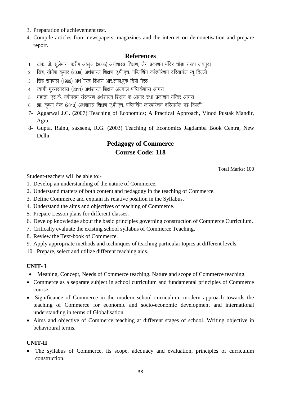- 3. Preparation of achievement test.
- 4. Compile articles from newspapers, magazines and the internet on demonetisation and prepare report.

# **References**

- 1. टाक. प्रो. सुलेमान, करीम अब्लुल (2005) अर्थशास्त्र शिक्षण, जैन प्रकाशन मंदिर चौड़ा रास्ता जयपुर।
- 2. सिंह, योगेश कुमार (2008) अर्थशास्त्र शिक्षण ए.पी.एच. पब्लिशिंग कॉरपोरेशन दरियागंज न्यू दिल्ली
- 3. सिंह रामपाल (1999) अर्थ'∏स्त्र शिक्षण आर.लाल.बक डिपो मेरठ
- 4. त्यागी गुरसरनदास (2011) अर्थशास्त्र शिक्षण अग्रवाल पब्लिकेशन्स आगरा
- 5. महन्तो: एस.के. नवीनतम संस्करण अर्थशास्त्र शिक्षण के आधार राधा प्रकाशन मन्दिर आगरा
- 6. झा. कृष्णा नेन्द (2010) अर्थशास्त्र शिक्षण ए.पी.एच. पब्लिशिंग कारपोरेशन दरियागंज नई दिल्ली
- 7- Aggarwal J.C. (2007) Teaching of Economics; A Practical Approach, Vinod Pustak Mandir, Agra.
- 8- Gupta, Rainu, saxsena, R.G. (2003) Teaching of Economics Jagdamba Book Centra, New Delhi.

# **Pedagogy of Commerce Course Code: 118**

Total Marks: 100

Student-teachers will be able to:-

- 1. Develop an understanding of the nature of Commerce.
- 2. Understand matters of both content and pedagogy in the teaching of Commerce.
- 3. Define Commerce and explain its relative position in the Syllabus.
- 4. Understand the aims and objectives of teaching of Commerce.
- 5. Prepare Lesson plans for different classes.
- 6. Develop knowledge about the basic principles governing construction of Commerce Curriculum.
- 7. Critically evaluate the existing school syllabus of Commerce Teaching.
- 8. Review the Text-book of Commerce.
- 9. Apply appropriate methods and techniques of teaching particular topics at different levels.
- 10. Prepare, select and utilize different teaching aids.

# **UNIT- I**

- Meaning, Concept, Needs of Commerce teaching. Nature and scope of Commerce teaching.
- Commerce as a separate subject in school curriculum and fundamental principles of Commerce course.
- Significance of Commerce in the modern school curriculum, modern approach towards the teaching of Commerce for economic and socio-economic development and international understanding in terms of Globalisation.
- Aims and objective of Commerce teaching at different stages of school. Writing objective in behavioural terms.

#### **UNIT-II**

 The syllabus of Commerce, its scope, adequacy and evaluation, principles of curriculum construction.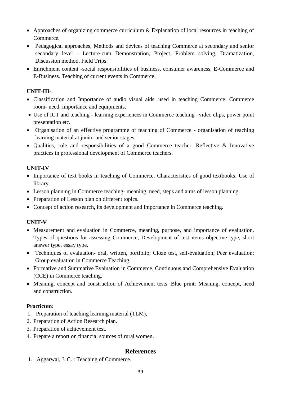- Approaches of organizing commerce curriculum & Explanation of local resources in teaching of Commerce.
- Pedagogical approaches, Methods and devices of teaching Commerce at secondary and senior secondary level - Lecture-cum Demonstration, Project, Problem solving, Dramatization, Discussion method, Field Trips.
- Enrichment content -social responsibilities of business, consumer awareness, E-Commerce and E-Business. Teaching of current events in Commerce.

# **UNIT-III-**

- Classification and Importance of audio visual aids, used in teaching Commerce. Commerce room- need, importance and equipments.
- Use of ICT and teaching learning experiences in Commerce teaching –video clips, power point presentation etc.
- Organisation of an effective programme of teaching of Commerce organisation of teaching learning material at junior and senior stages.
- Qualities, role and responsibilities of a good Commerce teacher. Reflective & Innovative practices in professional development of Commerce teachers.

# **UNIT-IV**

- Importance of text books in teaching of Commerce. Characteristics of good textbooks. Use of library.
- Lesson planning in Commerce teaching- meaning, need, steps and aims of lesson planning.
- Preparation of Lesson plan on different topics.
- Concept of action research, its development and importance in Commerce teaching.

# **UNIT-V**

- Measurement and evaluation in Commerce, meaning, purpose, and importance of evaluation. Types of questions for assessing Commerce, Development of test items objective type, short answer type, essay type.
- Techniques of evaluation- oral, written, portfolio; Cloze test, self-evaluation; Peer evaluation; Group evaluation in Commerce Teaching
- Formative and Summative Evaluation in Commerce, Continuous and Comprehensive Evaluation (CCE) in Commerce teaching.
- Meaning, concept and construction of Achievement tests. Blue print: Meaning, concept, need and construction.

# **Practicum:**

- 1. Preparation of teaching learning material (TLM),
- 2. Preparation of Action Research plan.
- 3. Preparation of achievement test.
- 4. Prepare a report on financial sources of rural women.

# **References**

1. Aggarwal, J. C. : Teaching of Commerce.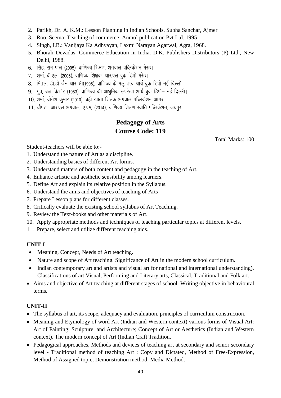- 2. Parikh, Dr. A. K.M.: Lesson Planning in Indian Schools, Subha Sanchar, Ajmer
- 3. Roo, Seema: Teaching of commerce, Anmol publication Pvt.Ltd.,1995
- 4. Singh, I.B.: Vanijaya Ka Adhyayan, Laxmi Narayan Agarwal, Agra, 1968.
- 5. Bhorali Devadas: Commerce Education in India. D.K. Publishers Distributors (P) Ltd., New Delhi, 1988.
- 6. सिंह, राम पाल (2005), वाणिज्य शिक्षण, अग्रवाल पब्लिकेशन मेरठ।
- 7. शर्मा, बी.एल. (2006), वाणिज्य शिक्षक, आर.एल बक डिपों मरेठ।
- 8. मितल, डी.डी जैन आर सी(1995), वाणिज्य के मल तत्व आर्य बक डिपो नई दिल्ली।
- 9. गुप्र, बज्र किशोर (1983), वाणिज्य की आधुनिक रूपरेखा आर्य बुक डिपो– नई दिल्ली।
- $10.$  शर्मा, योगेश कुमार (2010), बही खाता शिक्षक अग्रवाल पब्लिकेशन आगरा।
- 11. चौपड़ा, आर.एल अग्रवाल, ए.एम, (2014), वाणिज्य शिक्षण स्वाति पब्लिकेशन, जयपुर।

# **Pedagogy of Arts Course Code: 119**

Total Marks: 100

Student-teachers will be able to:-

- 1. Understand the nature of Art as a discipline.
- 2. Understanding basics of different Art forms.
- 3. Understand matters of both content and pedagogy in the teaching of Art.
- 4. Enhance artistic and aesthetic sensibility among learners.
- 5. Define Art and explain its relative position in the Syllabus.
- 6. Understand the aims and objectives of teaching of Arts
- 7. Prepare Lesson plans for different classes.
- 8. Critically evaluate the existing school syllabus of Art Teaching.
- 9. Review the Text-books and other materials of Art.
- 10. Apply appropriate methods and techniques of teaching particular topics at different levels.
- 11. Prepare, select and utilize different teaching aids.

#### **UNIT-I**

- Meaning, Concept, Needs of Art teaching.
- Nature and scope of Art teaching. Significance of Art in the modern school curriculum.
- Indian contemporary art and artists and visual art for national and international understanding). Classifications of art Visual, Performing and Literary arts, Classical, Traditional and Folk art.
- Aims and objective of Art teaching at different stages of school. Writing objective in behavioural terms.

# **UNIT-II**

- The syllabus of art, its scope, adequacy and evaluation, principles of curriculum construction.
- Meaning and Etymology of word Art (Indian and Western context) various forms of Visual Art: Art of Painting; Sculpture; and Architecture; Concept of Art or Aesthetics (Indian and Western context). The modern concept of Art (Indian Craft Tradition.
- Pedagogical approaches, Methods and devices of teaching art at secondary and senior secondary level - Traditional method of teaching Art : Copy and Dictated, Method of Free-Expression, Method of Assigned topic, Demonstration method, Media Method.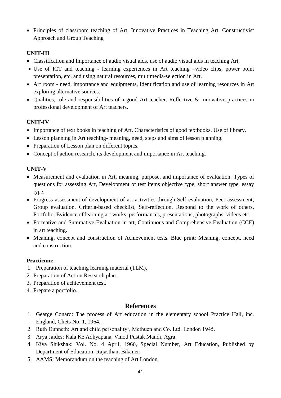Principles of classroom teaching of Art. Innovative Practices in Teaching Art, Constructivist Approach and Group Teaching

# **UNIT-III**

- Classification and Importance of audio visual aids, use of audio visual aids in teaching Art.
- Use of ICT and teaching learning experiences in Art teaching –video clips, power point presentation, etc. and using natural resources, multimedia-selection in Art.
- Art room need, importance and equipments, Identification and use of learning resources in Art exploring alternative sources.
- Qualities, role and responsibilities of a good Art teacher. Reflective & Innovative practices in professional development of Art teachers.

# **UNIT-IV**

- Importance of text books in teaching of Art. Characteristics of good textbooks. Use of library.
- Lesson planning in Art teaching- meaning, need, steps and aims of lesson planning.
- Preparation of Lesson plan on different topics.
- Concept of action research, its development and importance in Art teaching.

#### **UNIT-V**

- Measurement and evaluation in Art, meaning, purpose, and importance of evaluation. Types of questions for assessing Art, Development of test items objective type, short answer type, essay type.
- Progress assessment of development of art activities through Self evaluation, Peer assessment, Group evaluation, Criteria-based checklist, Self-reflection, Respond to the work of others, Portfolio. Evidence of learning art works, performances, presentations, photographs, videos etc.
- Formative and Summative Evaluation in art, Continuous and Comprehensive Evaluation (CCE) in art teaching.
- Meaning, concept and construction of Achievement tests. Blue print: Meaning, concept, need and construction.

#### **Practicum:**

- 1. Preparation of teaching learning material (TLM),
- 2. Preparation of Action Research plan.
- 3. Preparation of achievement test.
- 4. Prepare a portfolio.

# **References**

- 1. Gearge Conard: The process of Art education in the elementary school Practice Hall, inc. England, Cliets No. 1, 1964.
- 2. Ruth Dunneth: Art and child personality', Methuen and Co. Ltd. London 1945.
- 3. Arya Jaides: Kala Ke Adhyapana, Vinod Pustak Mandi, Agra.
- 4. Kiya Shikshak: Vol. No. 4 April, 1966, Special Number, Art Education, Published by Department of Education, Rajasthan, Bikaner.
- 5. AAMS: Memorandum on the teaching of Art London.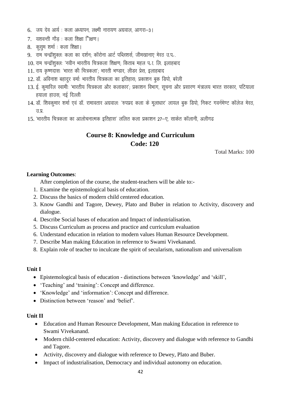- $6.$  जय देव आर्य: कला अध्यापन, लक्ष्मी नारायण अग्रवाल, आगरा-3।
- $7.$  यशवन्ती गौड : कला शिक्षा ''िक्षण ।
- 8. कसम शर्मा : कला शिक्षा।
- 9. राम चन्द्रॉशुक्लः कला का दर्शन; कॉरोना आर्ट पब्लिशर्स, जीमखानाए मेरठ उ.प.
- $10.$  राम चन्द्रॉशक्लः 'नवीन भारतीय चित्रकला शिक्षणः किताब महल प $\scriptstyle\rm I$ . लि. इलाहबाद
- $11.$  राय कृष्णदास: 'भारत की चित्रकला'; भारती भण्डार, लीडर प्रेस, इलाहबाद
- $12.$  डॉ. अविनाश बहादुर वर्माः भारतीय चित्रकला का इतिहास; प्रकाशन बुक डिपो, बरेली
- $13.$  ई. कुमारिल स्वामी: 'भारतीय चित्रकला और कलाकार'; प्रकाशन विभाग, सुचना और प्रसारण मंत्रालय भारत सरकार, पटियाला हयाला हाउस, नई दिल्ली
- 14. डॉ. शिवकुमार शर्मा एवं डॉ. रामावतार अग्रवालः 'रुपप्रद कला के मुलाधार' लायल बुक डिपो, निकट गवर्नमेण्ट कॉलेज मेरठ,  $\overline{3}$ .प्र
- 15. 'भारतीय चित्रकला का आलोचनात्मक इतिहास' ललित कला प्रकाशन 27–ए, साकेत कॉलानी, अलीगढ

# **Course 8: Knowledge and Curriculum Code: 120**

Total Marks: 100

#### **Learning Outcomes**:

After completion of the course, the student-teachers will be able to:-

- 1. Examine the epistemological basis of education.
- 2. Discuss the basics of modern child centered education.
- 3. Know Gandhi and Tagore, Dewey, Plato and Buber in relation to Activity, discovery and dialogue.
- 4. Describe Social bases of education and Impact of industrialisation.
- 5. Discuss Curriculum as process and practice and curriculum evaluation
- 6. Understand education in relation to modern values Human Resource Development.
- 7. Describe Man making Education in reference to Swami Vivekanand.
- 8. Explain role of teacher to inculcate the spirit of secularism, nationalism and universalism

#### **Unit I**

- Epistemological basis of education distinctions between 'knowledge' and 'skill',
- 'Teaching' and 'training': Concept and difference.
- 'Knowledge' and 'information': Concept and difference.
- Distinction between 'reason' and 'belief'.

#### **Unit II**

- Education and Human Resource Development, Man making Education in reference to Swami Vivekanand.
- Modern child-centered education: Activity, discovery and dialogue with reference to Gandhi and Tagore.
- Activity, discovery and dialogue with reference to Dewey, Plato and Buber.
- Impact of industrialisation, Democracy and individual autonomy on education.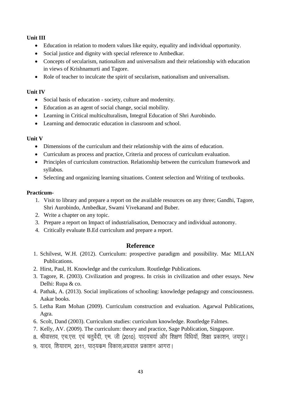# **Unit III**

- Education in relation to modern values like equity, equality and individual opportunity.
- Social justice and dignity with special reference to Ambedkar.
- Concepts of secularism, nationalism and universalism and their relationship with education in views of Krishnamurti and Tagore.
- Role of teacher to inculcate the spirit of secularism, nationalism and universalism.

## **Unit IV**

- Social basis of education society, culture and modernity.
- Education as an agent of social change, social mobility.
- Learning in Critical multiculturalism, Integral Education of Shri Aurobindo.
- Learning and democratic education in classroom and school.

# **Unit V**

- Dimensions of the curriculum and their relationship with the aims of education.
- Curriculum as process and practice, Criteria and process of curriculum evaluation.
- Principles of curriculum construction. Relationship between the curriculum framework and syllabus.
- Selecting and organizing learning situations. Content selection and Writing of textbooks.

# **Practicum-**

- 1. Visit to library and prepare a report on the available resources on any three; Gandhi, Tagore, Shri Aurobindo, Ambedkar, Swami Vivekanand and Buber.
- 2. Write a chapter on any topic.
- 3. Prepare a report on Impact of industrialisation, Democracy and individual autonomy.
- 4. Critically evaluate B.Ed curriculum and prepare a report.

# **Reference**

- 1. Schilvest, W.H. (2012). Curriculum: prospective paradigm and possibility. Mac MLLAN Publications.
- 2. Hirst, Paul, H. Knowledge and the curriculum. Routledge Publications.
- 3. Tagore, R. (2003). Civilization and progress. In crisis in civilization and other essays. New Delhi: Rupa & co.
- 4. Pathak, A. (2013). Social implications of schooling: knowledge pedagogy and consciousness. Aakar books.
- 5. Letha Ram Mohan (2009). Curriculum construction and evaluation. Agarwal Publications, Agra.
- 6. Scolt, Dand (2003). Curriculum studies: curriculum knowledge. Routledge Falmes.
- 7. Kelly, AV. (2009). The curriculum: theory and practice, Sage Publication, Singapore.
- 8. श्रीवास्तव, एच.एस. एवं चतुर्वेदी, एम. जी (2010). पाठ्यचर्या और शिक्षण विधियॉ, शिक्षा प्रकाशन, जयपूर।
- 9. यादव, शियाराम, 2011, पाठयक्रम विकास,अग्रवाल प्रकाशन आगरा।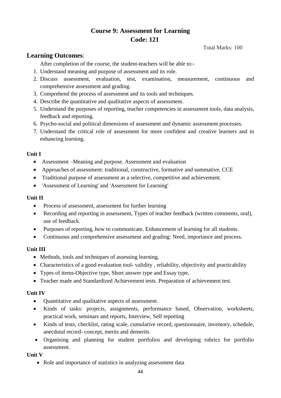# **Course 9: Assessment for Learning Code: 121**

Total Marks: 100

# **Learning Outcomes**:

After completion of the course, the student-teachers will be able to:-

- 1. Understand meaning and purpose of assessment and its role.
- 2. Discuss assessment, evaluation, test, examination, measurement, continuous and comprehensive assessment and grading.
- 3. Comprehend the process of assessment and its tools and techniques.
- 4. Describe the quantitative and qualitative aspects of assessment.
- 5. Understand the purposes of reporting, teacher competencies in assessment tools, data analysis, feedback and reporting.
- 6. Psycho-social and political dimensions of assessment and dynamic assessment processes.
- 7. Understand the critical role of assessment for more confident and creative learners and in enhancing learning.

# **Unit I**

- Assessment –Meaning and purpose. Assessment and evaluation
- Approaches of assessment: traditional, constructive, formative and summative, CCE
- Traditional purpose of assessment as a selective, competitive and achievement.
- 'Assessment of Learning' and 'Assessment for Learning'

# **Unit II**

- Process of assessment, assessment for further learning
- Recording and reporting in assessment, Types of teacher feedback (written comments, oral), use of feedback.
- Purposes of reporting, how to communicate. Enhancement of learning for all students.
- Continuous and comprehensive assessment and grading: Need, importance and process.

# **Unit III**

- Methods, tools and techniques of assessing learning,
- Characteristics of a good evaluation tool-validity, reliability, objectivity and practicability
- Types of items-Objective type, Short answer type and Essay type,
- Teacher made and Standardized Achievement tests. Preparation of achievement test.

# **Unit IV**

- Quantitative and qualitative aspects of assessment.
- Kinds of tasks: projects, assignments, performance based, Observation, worksheets, practical work, seminars and reports, Interview, Self reporting
- Kinds of tests, checklist, rating scale, cumulative record, questionnaire, inventory, schedule, anecdotal record- concept, merits and demerits
- Organising and planning for student portfolios and developing rubrics for portfolio assessment.

# **Unit V**

• Role and importance of statistics in analyzing assessment data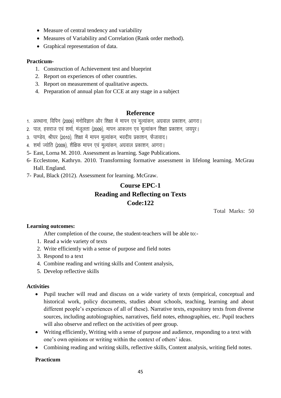- Measure of central tendency and variability
- Measures of Variability and Correlation (Rank order method).
- Graphical representation of data.

#### **Practicum-**

- 1. Construction of Achievement test and blueprint
- 2. Report on experiences of other countries.
- 3. Report on measurement of qualitative aspects.
- 4. Preparation of annual plan for CCE at any stage in a subject

#### **Reference**

- 1. अस्थाना, विपिन (2009) मनोविज्ञान और शिक्षा में मापन एवं मूल्यांकन, अग्रवाल प्रकाशन, आगरा।
- 2. पाल, हसराज एवं शर्मा, मंजुलता (2009), मापन आकलन एवं मुल्यांकन शिक्षा प्रकाशन, जयपुर।
- 3. पाण्डेय, श्रीघर (2010), शिक्षा में मापन मल्यांकन, भवदीय प्रकाशन, फैजावाद।
- 4. शर्मा ज्योति (2009), शैक्षिक मापन एवं मुल्यांकन, अग्रवाल प्रकाशन, आगरा।
- 5- East, Lorna M. 2010. Assessment as learning. Sage Publications.
- 6- Ecclestone, Kathryn. 2010. Transforming formative assessment in lifelong learning. McGrau Hall. England.
- 7- Paul, Black (2012). Assessment for learning. McGraw.

# **Course EPC-1 Reading and Reflecting on Texts Code:122**

Total Marks: 50

#### **Learning outcomes:**

After completion of the course, the student-teachers will be able to:-

- 1. Read a wide variety of texts
- 2. Write efficiently with a sense of purpose and field notes
- 3. Respond to a text
- 4. Combine reading and writing skills and Content analysis,
- 5. Develop reflective skills

#### **Activities**

- Pupil teacher will read and discuss on a wide variety of texts (empirical, conceptual and historical work, policy documents, studies about schools, teaching, learning and about different people's experiences of all of these). Narrative texts, expository texts from diverse sources, including autobiographies, narratives, field notes, ethnographies, etc. Pupil teachers will also observe and reflect on the activities of peer group.
- Writing efficiently, Writing with a sense of purpose and audience, responding to a text with one's own opinions or writing within the context of others' ideas.
- Combining reading and writing skills, reflective skills, Content analysis, writing field notes.

#### **Practicum**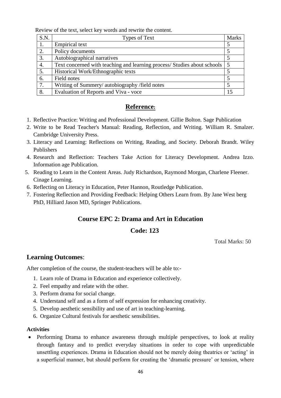Review of the text, select key words and rewrite the content.

| S.N. | Types of Text                                                                | <b>Marks</b> |
|------|------------------------------------------------------------------------------|--------------|
|      | Empirical text                                                               |              |
| 2.   | Policy documents                                                             |              |
| 3.   | Autobiographical narratives                                                  |              |
| 4.   | Text concerned with teaching and learning process/ Studies about schools   5 |              |
| 5.   | Historical Work/Ethnographic texts                                           |              |
| 6.   | Field notes                                                                  |              |
| 7.   | Writing of Summery/ autobiography /field notes                               |              |
| 8.   | Evaluation of Reports and Viva - voce                                        |              |

# **Reference:**

- 1. Reflective Practice: Writing and Professional Development. Gillie Bolton. Sage Publication
- 2. Write to be Read Teacher's Manual: Reading, Reflection, and Writing. William R. Smalzer. Cambridge University Press.
- 3. Literacy and Learning: Reflections on Writing, Reading, and Society. Deborah Brandt. Wiley Publishers
- 4. Research and Reflection: Teachers Take Action for Literacy Development. Andrea Izzo. Information age Publication.
- 5. Reading to Learn in the Content Areas. Judy Richardson, Raymond Morgan, Charlene Fleener. Cinage Learning.
- 6. Reflecting on Literacy in Education, Peter Hannon, Routledge Publication.
- 7. Fostering Reflection and Providing Feedback: Helping Others Learn from. By Jane West berg PhD, Hilliard Jason MD, Springer Publications.

# **Course EPC 2: Drama and Art in Education**

# **Code: 123**

Total Marks: 50

# **Learning Outcomes**:

After completion of the course, the student-teachers will be able to:-

- 1. Learn role of Drama in Education and experience collectively.
- 2. Feel empathy and relate with the other.
- 3. Perform drama for social change.
- 4. Understand self and as a form of self expression for enhancing creativity.
- 5. Develop aesthetic sensibility and use of art in teaching-learning.
- 6. Organize Cultural festivals for aesthetic sensibilities.

#### **Activities**

• Performing Drama to enhance awareness through multiple perspectives, to look at reality through fantasy and to predict everyday situations in order to cope with unpredictable unsettling experiences. Drama in Education should not be merely doing theatrics or 'acting' in a superficial manner, but should perform for creating the 'dramatic pressure' or tension, where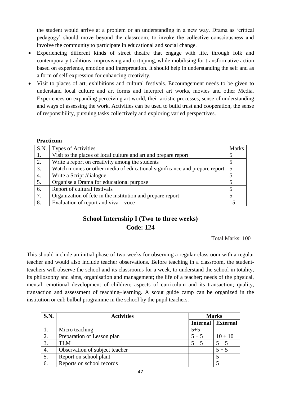the student would arrive at a problem or an understanding in a new way. Drama as 'critical pedagogy' should move beyond the classroom, to invoke the collective consciousness and involve the community to participate in educational and social change.

- Experiencing different kinds of street theatre that engage with life, through folk and contemporary traditions, improvising and critiquing, while mobilising for transformative action based on experience, emotion and interpretation. It should help in understanding the self and as a form of self-expression for enhancing creativity.
- Visit to places of art, exhibitions and cultural festivals. Encouragement needs to be given to understand local culture and art forms and interpret art works, movies and other Media. Experiences on expanding perceiving art world, their artistic processes, sense of understanding and ways of assessing the work. Activities can be used to build trust and cooperation, the sense of responsibility, pursuing tasks collectively and exploring varied perspectives.

#### **Practicum**

| S.N. | <b>Types of Activities</b>                                                 | <b>Marks</b> |
|------|----------------------------------------------------------------------------|--------------|
| 1.   | Visit to the places of local culture and art and prepare report            |              |
| 2.   | Write a report on creativity among the students                            |              |
| 3.   | Watch movies or other media of educational significance and prepare report |              |
| 4.   | Write a Script /dialogue                                                   |              |
| 5.   | Organise a Drama for educational purpose                                   |              |
| 6.   | Report of cultural festivals                                               |              |
| 7.   | Organization of fete in the institution and prepare report                 |              |
| 8.   | Evaluation of report and $viva - voc$                                      |              |

# **School Internship I (Two to three weeks) Code: 124**

Total Marks: 100

This should include an initial phase of two weeks for observing a regular classroom with a regular teacher and would also include teacher observations. Before teaching in a classroom, the studentteachers will observe the school and its classrooms for a week, to understand the school in totality, its philosophy and aims, organisation and management; the life of a teacher; needs of the physical, mental, emotional development of children; aspects of curriculum and its transaction; quality, transaction and assessment of teaching–learning. A scout guide camp can be organized in the institution or cub bulbul programme in the school by the pupil teachers.

| S.N.             | <b>Activities</b>              | <b>Marks</b> |                 |
|------------------|--------------------------------|--------------|-----------------|
|                  |                                | Internal     | <b>External</b> |
| 1.               | Micro teaching                 | $5 + 5$      |                 |
| 2.               | Preparation of Lesson plan     | $5 + 5$      | $10 + 10$       |
| 3.               | <b>TLM</b>                     | $5 + 5$      | $5 + 5$         |
| $\overline{4}$ . | Observation of subject teacher |              | $5 + 5$         |
| 5.               | Report on school plant         |              |                 |
| 6.               | Reports on school records      |              |                 |